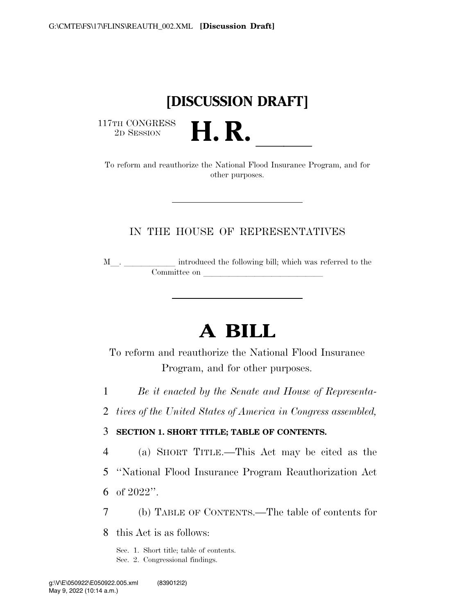# **[DISCUSSION DRAFT]**

 $\begin{array}{c} \text{117TH CONGRESS} \\ \text{2D SESION} \end{array}$ 

17TH CONGRESS<br>
2D SESSION **H. R.** <u>Insurance Program, and for</u><br>
To reform and reauthorize the National Flood Insurance Program, and for other purposes.

## IN THE HOUSE OF REPRESENTATIVES

<sup>M</sup>l. llllll introduced the following bill; which was referred to the Committee on leads on later was a set of the contract of the contract of the contract of the contract of the contract of the contract of the contract of the contract of the contract of the contract of the contract of the c

# **A BILL**

To reform and reauthorize the National Flood Insurance Program, and for other purposes.

1 *Be it enacted by the Senate and House of Representa-*

2 *tives of the United States of America in Congress assembled,* 

### 3 **SECTION 1. SHORT TITLE; TABLE OF CONTENTS.**

4 (a) SHORT TITLE.—This Act may be cited as the

5 ''National Flood Insurance Program Reauthorization Act

6 of 2022''.

7 (b) TABLE OF CONTENTS.—The table of contents for

8 this Act is as follows:

Sec. 1. Short title; table of contents. Sec. 2. Congressional findings.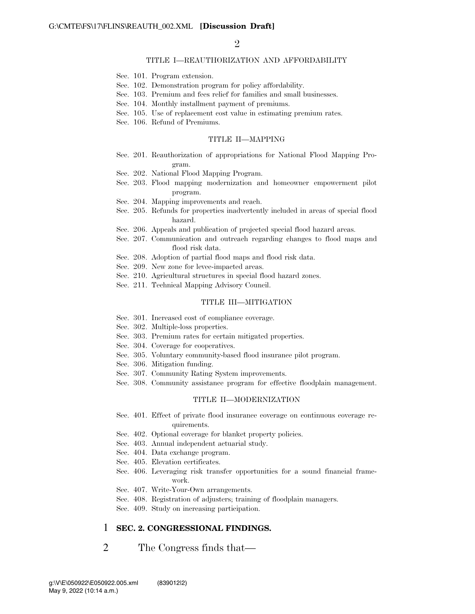$\mathcal{D}_{\mathcal{L}}$ 

### TITLE I—REAUTHORIZATION AND AFFORDABILITY

- Sec. 101. Program extension.
- Sec. 102. Demonstration program for policy affordability.
- Sec. 103. Premium and fees relief for families and small businesses.
- Sec. 104. Monthly installment payment of premiums.
- Sec. 105. Use of replacement cost value in estimating premium rates.
- Sec. 106. Refund of Premiums.

#### TITLE II—MAPPING

- Sec. 201. Reauthorization of appropriations for National Flood Mapping Program.
- Sec. 202. National Flood Mapping Program.
- Sec. 203. Flood mapping modernization and homeowner empowerment pilot program.
- Sec. 204. Mapping improvements and reach.
- Sec. 205. Refunds for properties inadvertently included in areas of special flood hazard.
- Sec. 206. Appeals and publication of projected special flood hazard areas.
- Sec. 207. Communication and outreach regarding changes to flood maps and flood risk data.
- Sec. 208. Adoption of partial flood maps and flood risk data.
- Sec. 209. New zone for levee-impacted areas.
- Sec. 210. Agricultural structures in special flood hazard zones.
- Sec. 211. Technical Mapping Advisory Council.

### TITLE III—MITIGATION

- Sec. 301. Increased cost of compliance coverage.
- Sec. 302. Multiple-loss properties.
- Sec. 303. Premium rates for certain mitigated properties.
- Sec. 304. Coverage for cooperatives.
- Sec. 305. Voluntary community-based flood insurance pilot program.
- Sec. 306. Mitigation funding.
- Sec. 307. Community Rating System improvements.
- Sec. 308. Community assistance program for effective floodplain management.

#### TITLE II—MODERNIZATION

- Sec. 401. Effect of private flood insurance coverage on continuous coverage requirements.
- Sec. 402. Optional coverage for blanket property policies.
- Sec. 403. Annual independent actuarial study.
- Sec. 404. Data exchange program.
- Sec. 405. Elevation certificates.
- Sec. 406. Leveraging risk transfer opportunities for a sound financial framework.
- Sec. 407. Write-Your-Own arrangements.
- Sec. 408. Registration of adjusters; training of floodplain managers.
- Sec. 409. Study on increasing participation.

### 1 **SEC. 2. CONGRESSIONAL FINDINGS.**

2 The Congress finds that—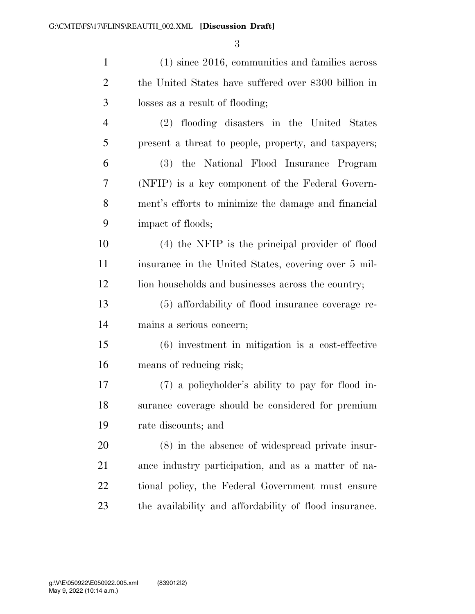| $\mathbf{1}$   | $(1)$ since 2016, communities and families across      |
|----------------|--------------------------------------------------------|
| $\overline{2}$ | the United States have suffered over \$300 billion in  |
| 3              | losses as a result of flooding;                        |
| $\overline{4}$ | (2) flooding disasters in the United States            |
| 5              | present a threat to people, property, and taxpayers;   |
| 6              | (3) the National Flood Insurance Program               |
| 7              | (NFIP) is a key component of the Federal Govern-       |
| 8              | ment's efforts to minimize the damage and financial    |
| 9              | impact of floods;                                      |
| 10             | (4) the NFIP is the principal provider of flood        |
| 11             | insurance in the United States, covering over 5 mil-   |
| 12             | lion households and businesses across the country;     |
| 13             | (5) affordability of flood insurance coverage re-      |
| 14             | mains a serious concern;                               |
| 15             | $(6)$ investment in mitigation is a cost-effective     |
| 16             | means of reducing risk;                                |
| 17             | (7) a policyholder's ability to pay for flood in-      |
| 18             | surance coverage should be considered for premium      |
| 19             | rate discounts; and                                    |
| 20             | $(8)$ in the absence of widespread private insur-      |
| 21             | ance industry participation, and as a matter of na-    |
| 22             | tional policy, the Federal Government must ensure      |
| 23             | the availability and affordability of flood insurance. |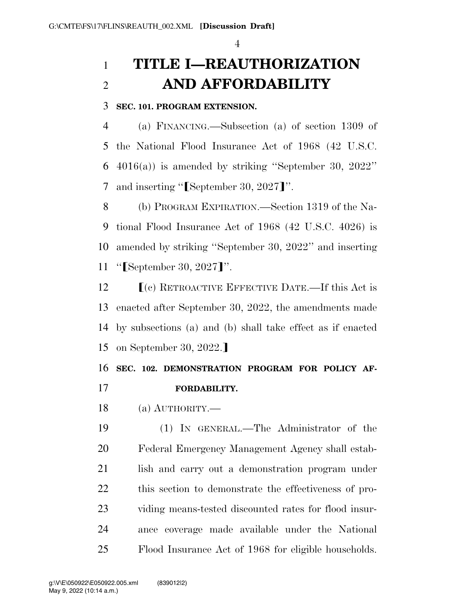# **TITLE I—REAUTHORIZATION AND AFFORDABILITY**

**SEC. 101. PROGRAM EXTENSION.** 

 (a) FINANCING.—Subsection (a) of section 1309 of the National Flood Insurance Act of 1968 (42 U.S.C. 4016(a)) is amended by striking ''September 30, 2022'' 7 and inserting " $\lceil \text{September } 30, 2027 \rceil$ ".

 (b) PROGRAM EXPIRATION.—Section 1319 of the Na- tional Flood Insurance Act of 1968 (42 U.S.C. 4026) is amended by striking ''September 30, 2022'' and inserting 11 " $[September\ 30, 2027]''.$ 

 $\Gamma$  (c) RETROACTIVE EFFECTIVE DATE.—If this Act is enacted after September 30, 2022, the amendments made by subsections (a) and (b) shall take effect as if enacted 15 on September 30, 2022.

# **SEC. 102. DEMONSTRATION PROGRAM FOR POLICY AF-FORDABILITY.**

(a) AUTHORITY.—

 (1) IN GENERAL.—The Administrator of the Federal Emergency Management Agency shall estab- lish and carry out a demonstration program under this section to demonstrate the effectiveness of pro- viding means-tested discounted rates for flood insur- ance coverage made available under the National Flood Insurance Act of 1968 for eligible households.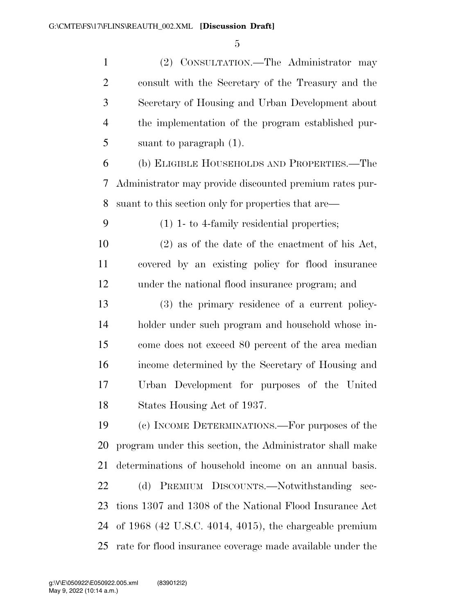(2) CONSULTATION.—The Administrator may consult with the Secretary of the Treasury and the Secretary of Housing and Urban Development about the implementation of the program established pur-suant to paragraph (1).

 (b) ELIGIBLE HOUSEHOLDS AND PROPERTIES.—The Administrator may provide discounted premium rates pur-suant to this section only for properties that are—

(1) 1- to 4-family residential properties;

 (2) as of the date of the enactment of his Act, covered by an existing policy for flood insurance under the national flood insurance program; and

 (3) the primary residence of a current policy- holder under such program and household whose in- come does not exceed 80 percent of the area median income determined by the Secretary of Housing and Urban Development for purposes of the United States Housing Act of 1937.

 (c) INCOME DETERMINATIONS.—For purposes of the program under this section, the Administrator shall make determinations of household income on an annual basis. (d) PREMIUM DISCOUNTS.—Notwithstanding sec- tions 1307 and 1308 of the National Flood Insurance Act of 1968 (42 U.S.C. 4014, 4015), the chargeable premium rate for flood insurance coverage made available under the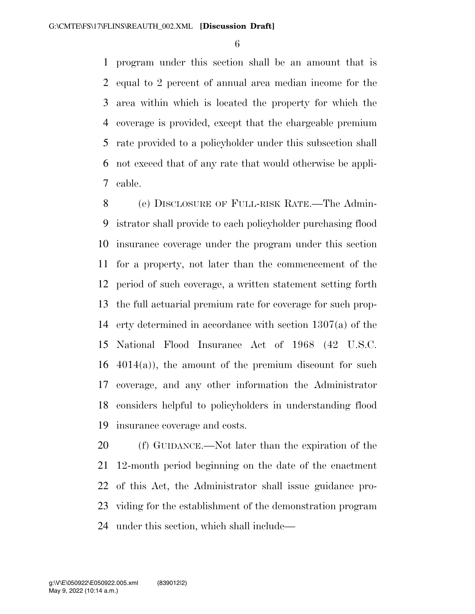program under this section shall be an amount that is equal to 2 percent of annual area median income for the area within which is located the property for which the coverage is provided, except that the chargeable premium rate provided to a policyholder under this subsection shall not exceed that of any rate that would otherwise be appli-cable.

 (e) DISCLOSURE OF FULL-RISK RATE.—The Admin- istrator shall provide to each policyholder purchasing flood insurance coverage under the program under this section for a property, not later than the commencement of the period of such coverage, a written statement setting forth the full actuarial premium rate for coverage for such prop- erty determined in accordance with section 1307(a) of the National Flood Insurance Act of 1968 (42 U.S.C.  $4014(a)$ , the amount of the premium discount for such coverage, and any other information the Administrator considers helpful to policyholders in understanding flood insurance coverage and costs.

 (f) GUIDANCE.—Not later than the expiration of the 12-month period beginning on the date of the enactment of this Act, the Administrator shall issue guidance pro- viding for the establishment of the demonstration program under this section, which shall include—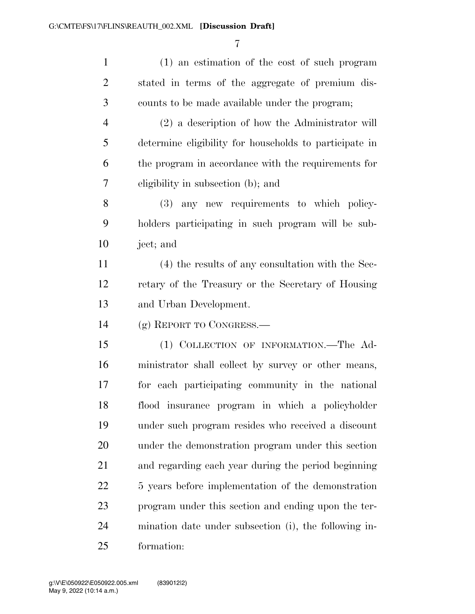| $\mathbf{1}$   | (1) an estimation of the cost of such program          |
|----------------|--------------------------------------------------------|
| $\overline{2}$ | stated in terms of the aggregate of premium dis-       |
| 3              | counts to be made available under the program;         |
| $\overline{4}$ | $(2)$ a description of how the Administrator will      |
| 5              | determine eligibility for households to participate in |
| 6              | the program in accordance with the requirements for    |
| 7              | eligibility in subsection (b); and                     |
| $8\,$          | (3) any new requirements to which policy-              |
| 9              | holders participating in such program will be sub-     |
| 10             | ject; and                                              |
| 11             | (4) the results of any consultation with the Sec-      |
| 12             | retary of the Treasury or the Secretary of Housing     |
| 13             | and Urban Development.                                 |
| 14             | (g) REPORT TO CONGRESS.—                               |
| 15             | (1) COLLECTION OF INFORMATION.—The Ad-                 |
| 16             | ministrator shall collect by survey or other means,    |
| 17             | for each participating community in the national       |
| 18             | flood insurance program in which a policyholder        |
| 19             | under such program resides who received a discount     |
| 20             | under the demonstration program under this section     |
| 21             | and regarding each year during the period beginning    |
| 22             | 5 years before implementation of the demonstration     |
| 23             | program under this section and ending upon the ter-    |
| 24             | mination date under subsection (i), the following in-  |
| 25             | formation:                                             |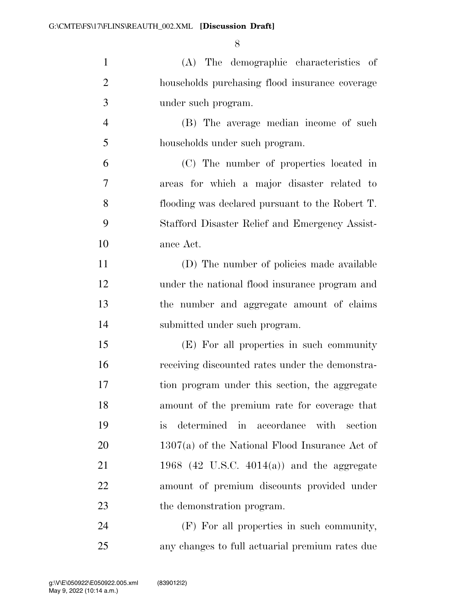| $\mathbf{1}$   | (A) The demographic characteristics of           |
|----------------|--------------------------------------------------|
| $\overline{2}$ | households purchasing flood insurance coverage   |
| 3              | under such program.                              |
| $\overline{4}$ | (B) The average median income of such            |
| 5              | households under such program.                   |
| 6              | (C) The number of properties located in          |
| 7              | areas for which a major disaster related to      |
| $8\,$          | flooding was declared pursuant to the Robert T.  |
| 9              | Stafford Disaster Relief and Emergency Assist-   |
| 10             | ance Act.                                        |
| 11             | (D) The number of policies made available        |
| 12             | under the national flood insurance program and   |
| 13             | the number and aggregate amount of claims        |
| 14             | submitted under such program.                    |
| 15             | (E) For all properties in such community         |
| 16             | receiving discounted rates under the demonstra-  |
| 17             | tion program under this section, the aggregate   |
| 18             | amount of the premium rate for coverage that     |
| 19             | determined in accordance with section<br>is      |
| 20             | $1307(a)$ of the National Flood Insurance Act of |
| 21             | 1968 (42 U.S.C. 4014(a)) and the aggregate       |
| 22             | amount of premium discounts provided under       |
| 23             | the demonstration program.                       |
| 24             | (F) For all properties in such community,        |

any changes to full actuarial premium rates due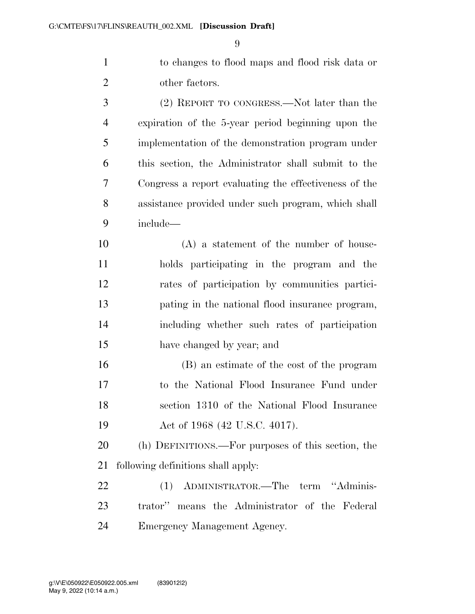to changes to flood maps and flood risk data or other factors.

 (2) REPORT TO CONGRESS.—Not later than the expiration of the 5-year period beginning upon the implementation of the demonstration program under this section, the Administrator shall submit to the Congress a report evaluating the effectiveness of the assistance provided under such program, which shall include— (A) a statement of the number of house- holds participating in the program and the rates of participation by communities partici- pating in the national flood insurance program, including whether such rates of participation have changed by year; and (B) an estimate of the cost of the program to the National Flood Insurance Fund under

 section 1310 of the National Flood Insurance 19 Act of 1968 (42 U.S.C. 4017).

 (h) DEFINITIONS.—For purposes of this section, the following definitions shall apply:

 (1) ADMINISTRATOR.—The term ''Adminis- trator'' means the Administrator of the Federal Emergency Management Agency.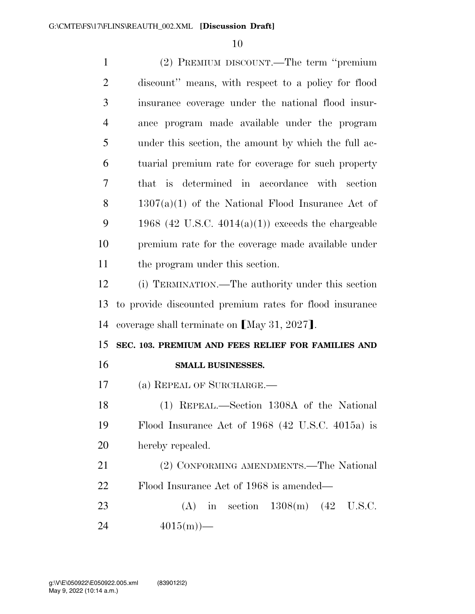| $\mathbf{1}$   | (2) PREMIUM DISCOUNT.—The term "premium                 |
|----------------|---------------------------------------------------------|
| $\overline{2}$ | discount" means, with respect to a policy for flood     |
| 3              | insurance coverage under the national flood insur-      |
| $\overline{4}$ | ance program made available under the program           |
| 5              | under this section, the amount by which the full ac-    |
| 6              | tuarial premium rate for coverage for such property     |
| 7              | that is determined in accordance with section           |
| 8              | $1307(a)(1)$ of the National Flood Insurance Act of     |
| 9              | 1968 (42 U.S.C. $4014(a)(1)$ ) exceeds the chargeable   |
| 10             | premium rate for the coverage made available under      |
| 11             | the program under this section.                         |
| 12             | (i) TERMINATION.—The authority under this section       |
| 13             | to provide discounted premium rates for flood insurance |
| 14             | coverage shall terminate on [May 31, 2027].             |
| 15             | SEC. 103. PREMIUM AND FEES RELIEF FOR FAMILIES AND      |
| 16             | SMALL BUSINESSES.                                       |
| 17             | (a) REPEAL OF SURCHARGE.                                |
| 18             | (1) REPEAL.—Section 1308A of the National               |
| 19             | Flood Insurance Act of $1968$ (42 U.S.C. 4015a) is      |
| 20             | hereby repealed.                                        |
| 21             | (2) CONFORMING AMENDMENTS.—The National                 |
| 22             | Flood Insurance Act of 1968 is amended—                 |
| 23             | (A) in section $1308(m)$ (42 U.S.C.                     |
| 24             | $4015(m)$ —                                             |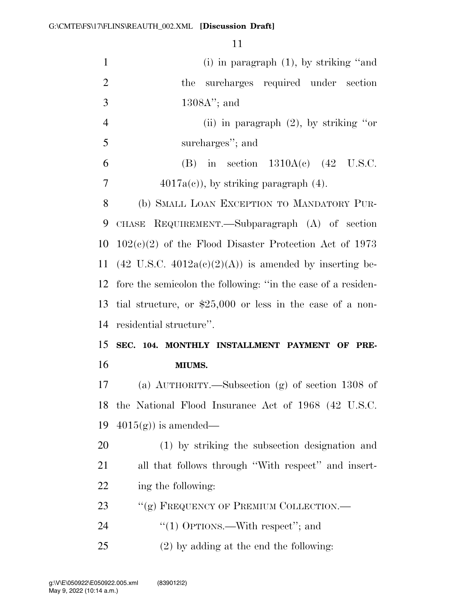| $\mathbf{1}$   | (i) in paragraph $(1)$ , by striking "and                         |
|----------------|-------------------------------------------------------------------|
| $\overline{2}$ | surcharges required under section<br>the                          |
| $\mathfrak{Z}$ | $1308A$ "; and                                                    |
| $\overline{4}$ | (ii) in paragraph $(2)$ , by striking "or                         |
| 5              | surcharges"; and                                                  |
| 6              | in section $1310A(e)$ (42 U.S.C.<br>(B)                           |
| 7              | $4017a(c)$ , by striking paragraph $(4)$ .                        |
| 8              | (b) SMALL LOAN EXCEPTION TO MANDATORY PUR-                        |
| 9              | CHASE REQUIREMENT.—Subparagraph (A) of section                    |
| 10             | $102(c)(2)$ of the Flood Disaster Protection Act of 1973          |
| 11             | $(42 \text{ U.S.C. } 4012a(c)(2)(A))$ is amended by inserting be- |
| 12             | fore the semicolon the following: "in the case of a residen-      |
| 13             | tial structure, or $$25,000$ or less in the case of a non-        |
| 14             | residential structure".                                           |
| 15             | SEC. 104. MONTHLY INSTALLMENT PAYMENT OF PRE-                     |
| 16             |                                                                   |
|                | MIUMS.                                                            |
| 17             | (a) $\text{AUTHORITY}$ .—Subsection (g) of section 1308 of        |
| 18             | the National Flood Insurance Act of 1968 (42 U.S.C.               |
| 19             | $4015(g)$ is amended—                                             |
| 20             | (1) by striking the subsection designation and                    |
| 21             | all that follows through "With respect" and insert-               |
| 22             | ing the following:                                                |
| 23             | "(g) FREQUENCY OF PREMIUM COLLECTION.—                            |
| 24             | "(1) OPTIONS.—With respect"; and                                  |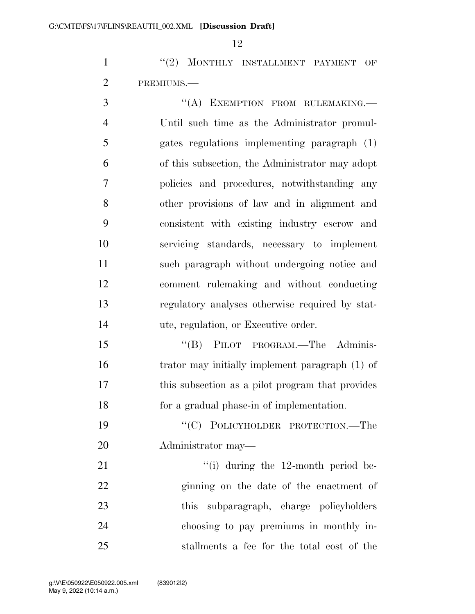1 ''(2) MONTHLY INSTALLMENT PAYMENT OF PREMIUMS.—

3 "(A) EXEMPTION FROM RULEMAKING. Until such time as the Administrator promul- gates regulations implementing paragraph (1) of this subsection, the Administrator may adopt policies and procedures, notwithstanding any other provisions of law and in alignment and consistent with existing industry escrow and servicing standards, necessary to implement such paragraph without undergoing notice and comment rulemaking and without conducting regulatory analyses otherwise required by stat-ute, regulation, or Executive order.

15 "(B) PILOT PROGRAM.—The Adminis- trator may initially implement paragraph (1) of this subsection as a pilot program that provides for a gradual phase-in of implementation.

 ''(C) POLICYHOLDER PROTECTION.—The Administrator may—

21 ''(i) during the 12-month period be- ginning on the date of the enactment of this subparagraph, charge policyholders choosing to pay premiums in monthly in-stallments a fee for the total cost of the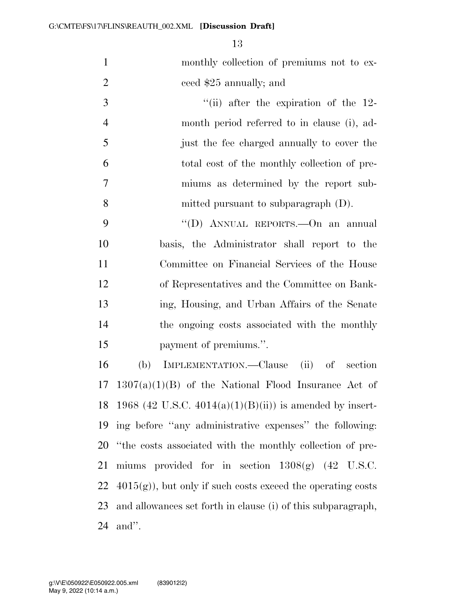monthly collection of premiums not to ex-ceed \$25 annually; and

3 ''(ii) after the expiration of the 12- month period referred to in clause (i), ad- just the fee charged annually to cover the total cost of the monthly collection of pre- miums as determined by the report sub-mitted pursuant to subparagraph (D).

9 "'(D) ANNUAL REPORTS.—On an annual basis, the Administrator shall report to the Committee on Financial Services of the House of Representatives and the Committee on Bank- ing, Housing, and Urban Affairs of the Senate the ongoing costs associated with the monthly payment of premiums.''.

 (b) IMPLEMENTATION.—Clause (ii) of section  $17 \quad 1307(a)(1)(B)$  of the National Flood Insurance Act of 18 1968 (42 U.S.C.  $4014(a)(1)(B(ii))$  is amended by insert- ing before ''any administrative expenses'' the following: ''the costs associated with the monthly collection of pre- miums provided for in section 1308(g) (42 U.S.C.  $4015(g)$ , but only if such costs exceed the operating costs and allowances set forth in clause (i) of this subparagraph, and''.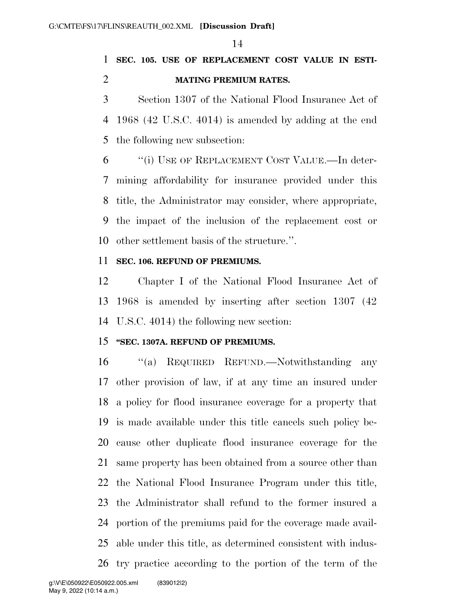## **SEC. 105. USE OF REPLACEMENT COST VALUE IN ESTI-MATING PREMIUM RATES.**

 Section 1307 of the National Flood Insurance Act of 1968 (42 U.S.C. 4014) is amended by adding at the end the following new subsection:

 ''(i) USE OF REPLACEMENT COST VALUE.—In deter- mining affordability for insurance provided under this title, the Administrator may consider, where appropriate, the impact of the inclusion of the replacement cost or other settlement basis of the structure.''.

### **SEC. 106. REFUND OF PREMIUMS.**

 Chapter I of the National Flood Insurance Act of 1968 is amended by inserting after section 1307 (42 U.S.C. 4014) the following new section:

### **''SEC. 1307A. REFUND OF PREMIUMS.**

 ''(a) REQUIRED REFUND.—Notwithstanding any other provision of law, if at any time an insured under a policy for flood insurance coverage for a property that is made available under this title cancels such policy be- cause other duplicate flood insurance coverage for the same property has been obtained from a source other than the National Flood Insurance Program under this title, the Administrator shall refund to the former insured a portion of the premiums paid for the coverage made avail- able under this title, as determined consistent with indus-try practice according to the portion of the term of the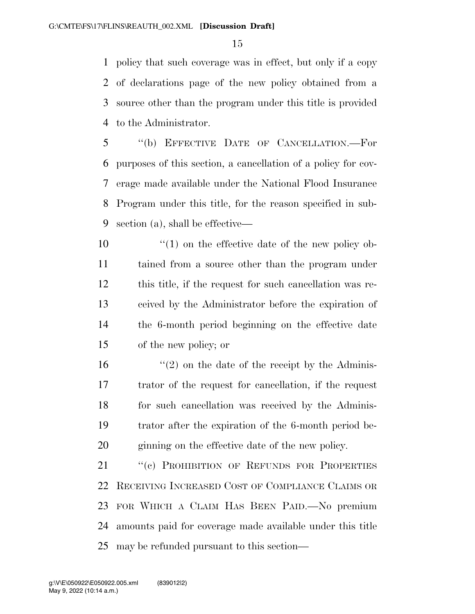policy that such coverage was in effect, but only if a copy of declarations page of the new policy obtained from a source other than the program under this title is provided to the Administrator.

 ''(b) EFFECTIVE DATE OF CANCELLATION.—For purposes of this section, a cancellation of a policy for cov- erage made available under the National Flood Insurance Program under this title, for the reason specified in sub-section (a), shall be effective—

 $\frac{10}{2}$  <sup>''</sup>(1) on the effective date of the new policy ob- tained from a source other than the program under this title, if the request for such cancellation was re- ceived by the Administrator before the expiration of the 6-month period beginning on the effective date of the new policy; or

 $\frac{16}{2}$  <sup>(1</sup>(2) on the date of the receipt by the Adminis- trator of the request for cancellation, if the request 18 for such cancellation was received by the Adminis- trator after the expiration of the 6-month period be-ginning on the effective date of the new policy.

21 "(c) PROHIBITION OF REFUNDS FOR PROPERTIES RECEIVING INCREASED COST OF COMPLIANCE CLAIMS OR FOR WHICH A CLAIM HAS BEEN PAID.—No premium amounts paid for coverage made available under this title may be refunded pursuant to this section—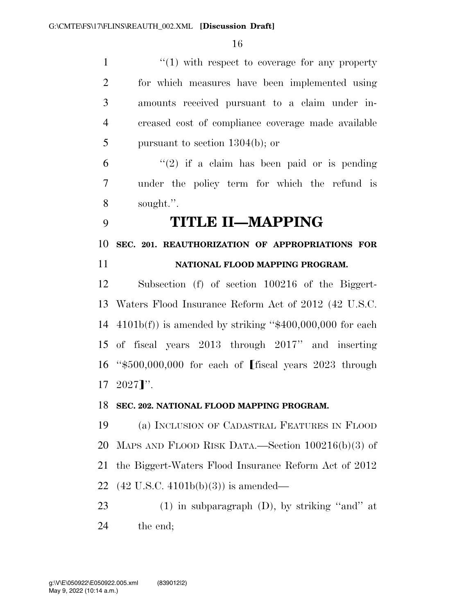1 ''(1) with respect to coverage for any property for which measures have been implemented using amounts received pursuant to a claim under in- creased cost of compliance coverage made available pursuant to section 1304(b); or

 "(2) if a claim has been paid or is pending under the policy term for which the refund is sought.''.

**TITLE II—MAPPING** 

**SEC. 201. REAUTHORIZATION OF APPROPRIATIONS FOR** 

## **NATIONAL FLOOD MAPPING PROGRAM.**

 Subsection (f) of section 100216 of the Biggert- Waters Flood Insurance Reform Act of 2012 (42 U.S.C.  $4101b(f)$  is amended by striking "\$400,000,000 for each of fiscal years 2013 through 2017'' and inserting 16 " $$500,000,000$  for each of fiscal years 2023 through  $17 \quad 2027$ <sup>"</sup>.

## **SEC. 202. NATIONAL FLOOD MAPPING PROGRAM.**

 (a) INCLUSION OF CADASTRAL FEATURES IN FLOOD MAPS AND FLOOD RISK DATA.—Section 100216(b)(3) of the Biggert-Waters Flood Insurance Reform Act of 2012 (42 U.S.C. 4101b(b)(3)) is amended—

 (1) in subparagraph (D), by striking ''and'' at the end;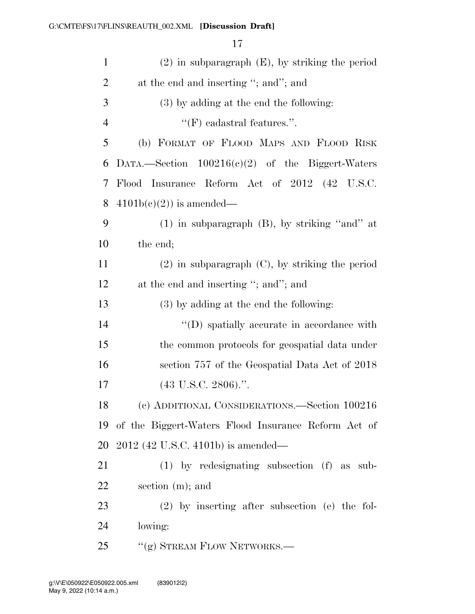| $\mathbf{1}$   | $(2)$ in subparagraph $(E)$ , by striking the period |
|----------------|------------------------------------------------------|
| $\overline{2}$ | at the end and inserting "; and"; and                |
| 3              | (3) by adding at the end the following:              |
| $\overline{4}$ | $\lq\lq(F)$ cadastral features.".                    |
| 5              | (b) FORMAT OF FLOOD MAPS AND FLOOD RISK              |
| 6              | DATA.—Section $100216(c)(2)$ of the Biggert-Waters   |
| 7              | Flood Insurance Reform Act of 2012 (42 U.S.C.        |
| 8              | $4101b(c)(2)$ is amended—                            |
| 9              | $(1)$ in subparagraph $(B)$ , by striking "and" at   |
| 10             | the end;                                             |
| 11             | $(2)$ in subparagraph $(C)$ , by striking the period |
| 12             | at the end and inserting "; and"; and                |
| 13             | $(3)$ by adding at the end the following:            |
| 14             | "(D) spatially accurate in accordance with           |
| 15             | the common protocols for geospatial data under       |
| 16             | section 757 of the Geospatial Data Act of 2018       |
| 17             | $(43 \text{ U.S.C. } 2806).$ ".                      |
| 18             | (c) ADDITIONAL CONSIDERATIONS.—Section 100216        |
| 19             | of the Biggert-Waters Flood Insurance Reform Act of  |
| 20             | 2012 (42 U.S.C. 4101b) is amended—                   |
| 21             | $(1)$ by redesignating subsection $(f)$ as sub-      |
| <u>22</u>      | section (m); and                                     |
| 23             | $(2)$ by inserting after subsection (e) the fol-     |
| 24             | lowing:                                              |
| 25             | "(g) STREAM FLOW NETWORKS.—                          |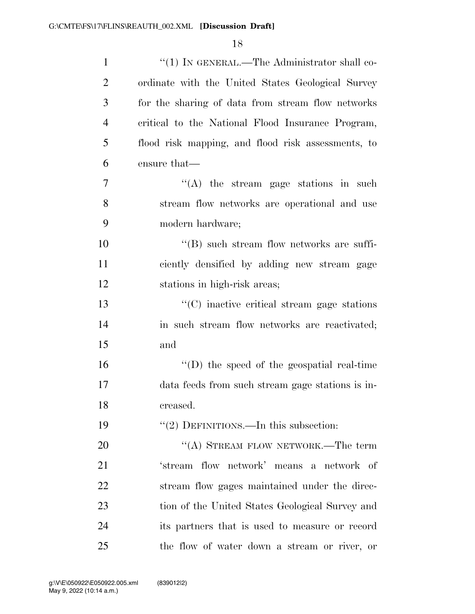| $\mathbf{1}$   | "(1) IN GENERAL.—The Administrator shall co-       |
|----------------|----------------------------------------------------|
| $\overline{2}$ | ordinate with the United States Geological Survey  |
| 3              | for the sharing of data from stream flow networks  |
| 4              | critical to the National Flood Insurance Program,  |
| 5              | flood risk mapping, and flood risk assessments, to |
| 6              | ensure that—                                       |
| 7              | $(4)$ the stream gage stations in such             |
| 8              | stream flow networks are operational and use       |
| 9              | modern hardware;                                   |
| 10             | $\lq\lq (B)$ such stream flow networks are suffi-  |
| 11             | ciently densified by adding new stream gage        |
| 12             | stations in high-risk areas;                       |
| 13             | $\cdot$ (C) inactive critical stream gage stations |
| 14             | in such stream flow networks are reactivated;      |
| 15             | and                                                |
| 16             | $\lq\lq$ (D) the speed of the geospatial real-time |
| 17             | data feeds from such stream gage stations is in-   |
| 18             | creased.                                           |
| 19             | $"(2)$ DEFINITIONS.—In this subsection:            |
| 20             | "(A) STREAM FLOW NETWORK.—The term                 |
| 21             | 'stream flow network' means a network of           |
| 22             | stream flow gages maintained under the direc-      |
| 23             | tion of the United States Geological Survey and    |
| 24             | its partners that is used to measure or record     |
| 25             | the flow of water down a stream or river, or       |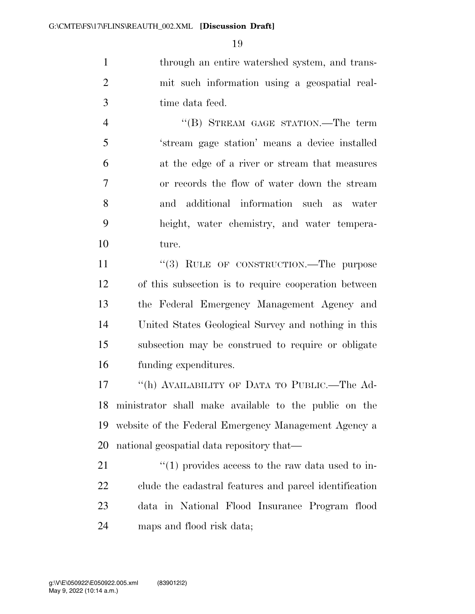through an entire watershed system, and trans- mit such information using a geospatial real-time data feed.

4 "(B) STREAM GAGE STATION.—The term 'stream gage station' means a device installed at the edge of a river or stream that measures or records the flow of water down the stream and additional information such as water height, water chemistry, and water tempera-ture.

11 "(3) RULE OF CONSTRUCTION.—The purpose of this subsection is to require cooperation between the Federal Emergency Management Agency and United States Geological Survey and nothing in this subsection may be construed to require or obligate funding expenditures.

 ''(h) AVAILABILITY OF DATA TO PUBLIC.—The Ad- ministrator shall make available to the public on the website of the Federal Emergency Management Agency a national geospatial data repository that—

 $\frac{1}{2}$  (1) provides access to the raw data used to in- clude the cadastral features and parcel identification data in National Flood Insurance Program flood maps and flood risk data;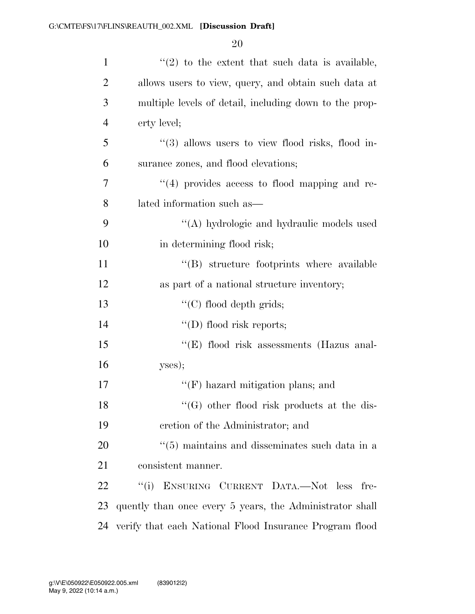| $\mathbf{1}$   | $\lq(2)$ to the extent that such data is available,        |
|----------------|------------------------------------------------------------|
| $\overline{2}$ | allows users to view, query, and obtain such data at       |
| 3              | multiple levels of detail, including down to the prop-     |
| $\overline{4}$ | erty level;                                                |
| 5              | $\lq(3)$ allows users to view flood risks, flood in-       |
| 6              | surance zones, and flood elevations;                       |
| 7              | $\lq(4)$ provides access to flood mapping and re-          |
| 8              | lated information such as—                                 |
| 9              | "(A) hydrologic and hydraulic models used                  |
| 10             | in determining flood risk;                                 |
| 11             | "(B) structure footprints where available                  |
| 12             | as part of a national structure inventory;                 |
| 13             | " $(C)$ flood depth grids;                                 |
| 14             | "(D) flood risk reports;                                   |
| 15             | "(E) flood risk assessments (Hazus anal-                   |
| 16             | yses);                                                     |
| 17             | $\lq\lq(F)$ hazard mitigation plans; and                   |
| 18             | $\lq\lq(G)$ other flood risk products at the dis-          |
| 19             | cretion of the Administrator; and                          |
| 20             | $\cdot\cdot$ (5) maintains and disseminates such data in a |
| 21             | consistent manner.                                         |
| 22             | "(i) ENSURING CURRENT DATA.—Not less fre-                  |
| 23             | quently than once every 5 years, the Administrator shall   |
| 24             | verify that each National Flood Insurance Program flood    |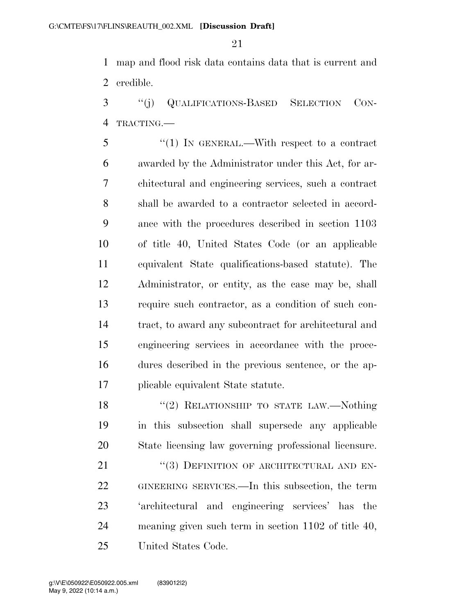map and flood risk data contains data that is current and credible.

 ''(j) QUALIFICATIONS-BASED SELECTION CON-TRACTING.—

 ''(1) IN GENERAL.—With respect to a contract awarded by the Administrator under this Act, for ar- chitectural and engineering services, such a contract shall be awarded to a contractor selected in accord- ance with the procedures described in section 1103 of title 40, United States Code (or an applicable equivalent State qualifications-based statute). The Administrator, or entity, as the case may be, shall require such contractor, as a condition of such con- tract, to award any subcontract for architectural and engineering services in accordance with the proce- dures described in the previous sentence, or the ap-plicable equivalent State statute.

18 "(2) RELATIONSHIP TO STATE LAW.—Nothing in this subsection shall supersede any applicable State licensing law governing professional licensure.

21 "(3) DEFINITION OF ARCHITECTURAL AND EN- GINEERING SERVICES.—In this subsection, the term 'architectural and engineering services' has the meaning given such term in section 1102 of title 40, United States Code.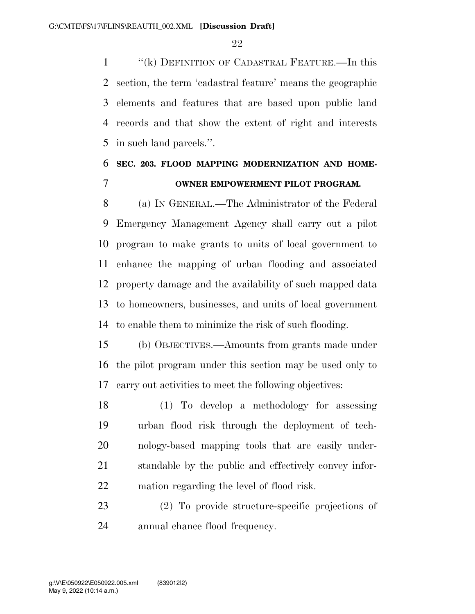''(k) DEFINITION OF CADASTRAL FEATURE.—In this section, the term 'cadastral feature' means the geographic elements and features that are based upon public land records and that show the extent of right and interests in such land parcels.''.

# **SEC. 203. FLOOD MAPPING MODERNIZATION AND HOME-OWNER EMPOWERMENT PILOT PROGRAM.**

 (a) IN GENERAL.—The Administrator of the Federal Emergency Management Agency shall carry out a pilot program to make grants to units of local government to enhance the mapping of urban flooding and associated property damage and the availability of such mapped data to homeowners, businesses, and units of local government to enable them to minimize the risk of such flooding.

 (b) OBJECTIVES.—Amounts from grants made under the pilot program under this section may be used only to carry out activities to meet the following objectives:

 (1) To develop a methodology for assessing urban flood risk through the deployment of tech- nology-based mapping tools that are easily under- standable by the public and effectively convey infor-mation regarding the level of flood risk.

 (2) To provide structure-specific projections of annual chance flood frequency.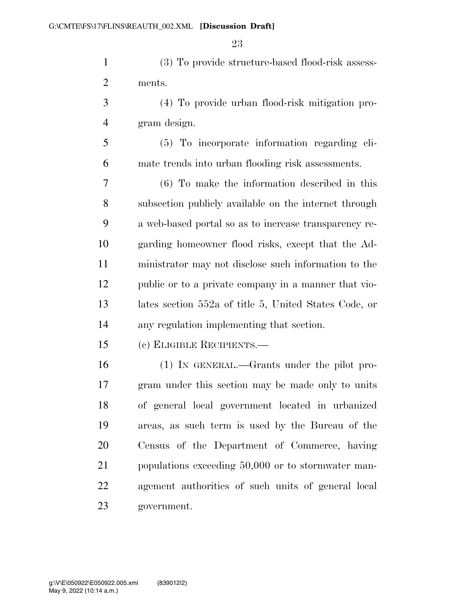(3) To provide structure-based flood-risk assess-ments.

 (4) To provide urban flood-risk mitigation pro-gram design.

 (5) To incorporate information regarding cli-mate trends into urban flooding risk assessments.

 (6) To make the information described in this subsection publicly available on the internet through a web-based portal so as to increase transparency re- garding homeowner flood risks, except that the Ad- ministrator may not disclose such information to the public or to a private company in a manner that vio- lates section 552a of title 5, United States Code, or any regulation implementing that section.

(c) ELIGIBLE RECIPIENTS.—

 (1) IN GENERAL.—Grants under the pilot pro- gram under this section may be made only to units of general local government located in urbanized areas, as such term is used by the Bureau of the Census of the Department of Commerce, having populations exceeding 50,000 or to stormwater man- agement authorities of such units of general local government.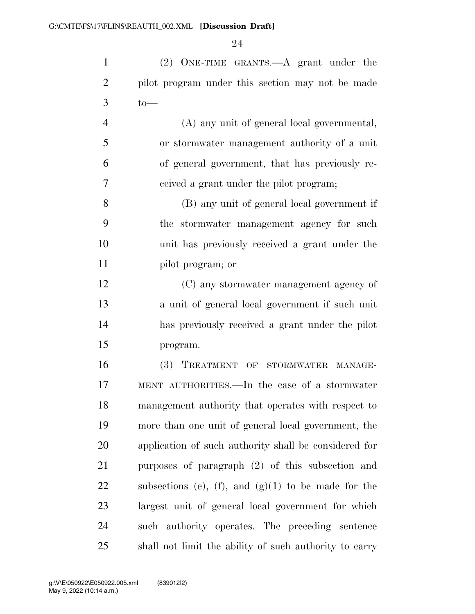(2) ONE-TIME GRANTS.—A grant under the pilot program under this section may not be made to —

 (A) any unit of general local governmental, or stormwater management authority of a unit of general government, that has previously re-ceived a grant under the pilot program;

 (B) any unit of general local government if the stormwater management agency for such unit has previously received a grant under the pilot program; or

 (C) any stormwater management agency of a unit of general local government if such unit has previously received a grant under the pilot program.

 (3) TREATMENT OF STORMWATER MANAGE- MENT AUTHORITIES.—In the case of a stormwater management authority that operates with respect to more than one unit of general local government, the application of such authority shall be considered for purposes of paragraph (2) of this subsection and 22 subsections (e), (f), and  $(g)(1)$  to be made for the largest unit of general local government for which such authority operates. The preceding sentence shall not limit the ability of such authority to carry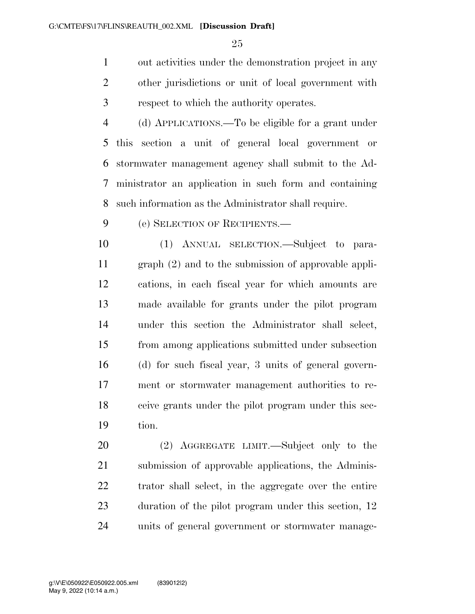out activities under the demonstration project in any other jurisdictions or unit of local government with respect to which the authority operates.

 (d) APPLICATIONS.—To be eligible for a grant under this section a unit of general local government or stormwater management agency shall submit to the Ad- ministrator an application in such form and containing such information as the Administrator shall require.

(e) SELECTION OF RECIPIENTS.—

 (1) ANNUAL SELECTION.—Subject to para- graph (2) and to the submission of approvable appli- cations, in each fiscal year for which amounts are made available for grants under the pilot program under this section the Administrator shall select, from among applications submitted under subsection (d) for such fiscal year, 3 units of general govern- ment or stormwater management authorities to re- ceive grants under the pilot program under this sec-tion.

 (2) AGGREGATE LIMIT.—Subject only to the submission of approvable applications, the Adminis- trator shall select, in the aggregate over the entire 23 duration of the pilot program under this section, 12 units of general government or stormwater manage-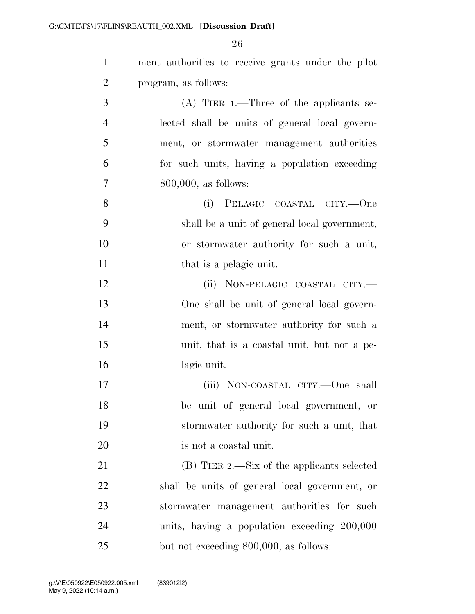| $\mathbf{1}$   | ment authorities to receive grants under the pilot |
|----------------|----------------------------------------------------|
| $\overline{2}$ | program, as follows:                               |
| 3              | $(A)$ TIER 1.—Three of the applicants se-          |
| $\overline{4}$ | lected shall be units of general local govern-     |
| 5              | ment, or stormwater management authorities         |
| 6              | for such units, having a population exceeding      |
| 7              | $800,000$ , as follows:                            |
| 8              | PELAGIC COASTAL CITY.--One<br>(i)                  |
| 9              | shall be a unit of general local government,       |
| 10             | or stormwater authority for such a unit,           |
| 11             | that is a pelagic unit.                            |
| 12             | (ii) NON-PELAGIC COASTAL CITY.-                    |
| 13             | One shall be unit of general local govern-         |
| 14             | ment, or stormwater authority for such a           |
| 15             | unit, that is a coastal unit, but not a pe-        |
| 16             | lagic unit.                                        |
| 17             | (iii) NON-COASTAL CITY.—One shall                  |
| 18             | be unit of general local government, or            |
| 19             | stormwater authority for such a unit, that         |
| 20             | is not a coastal unit.                             |
| 21             | (B) TIER 2.—Six of the applicants selected         |
| 22             | shall be units of general local government, or     |
| 23             | stormwater management authorities for such         |
| 24             | units, having a population exceeding 200,000       |
| 25             | but not exceeding 800,000, as follows:             |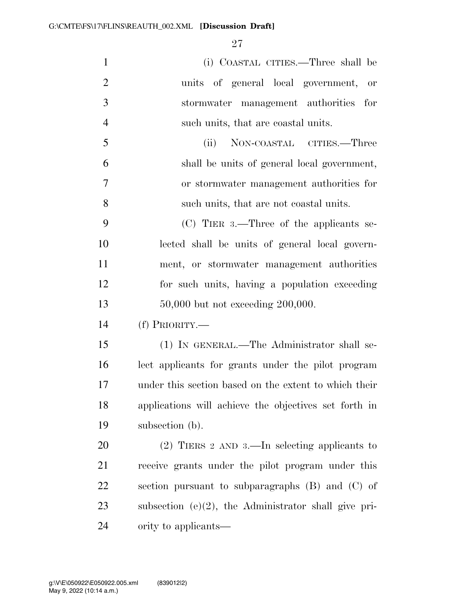| $\mathbf{1}$   | (i) COASTAL CITIES.—Three shall be                      |
|----------------|---------------------------------------------------------|
| $\overline{2}$ | units of general local government,<br>or                |
| 3              | stormwater management authorities for                   |
| $\overline{4}$ | such units, that are coastal units.                     |
| $\mathfrak{S}$ | (ii)<br>NON-COASTAL CITIES.—Three                       |
| 6              | shall be units of general local government,             |
| 7              | or stormwater management authorities for                |
| 8              | such units, that are not coastal units.                 |
| 9              | $(C)$ TIER 3.—Three of the applicants se-               |
| 10             | lected shall be units of general local govern-          |
| 11             | ment, or stormwater management authorities              |
| 12             | for such units, having a population exceeding           |
|                |                                                         |
| 13             | $50,000$ but not exceeding $200,000$ .                  |
| 14             | $(f)$ PRIORITY.—                                        |
| 15             | (1) IN GENERAL.—The Administrator shall se-             |
| 16             | lect applicants for grants under the pilot program      |
| 17             | under this section based on the extent to which their   |
| 18             | applications will achieve the objectives set forth in   |
| 19             | subsection (b).                                         |
| 20             | $(2)$ TIERS 2 AND 3.—In selecting applicants to         |
| 21             | receive grants under the pilot program under this       |
| 22             | section pursuant to subparagraphs $(B)$ and $(C)$ of    |
| 23             | subsection $(e)(2)$ , the Administrator shall give pri- |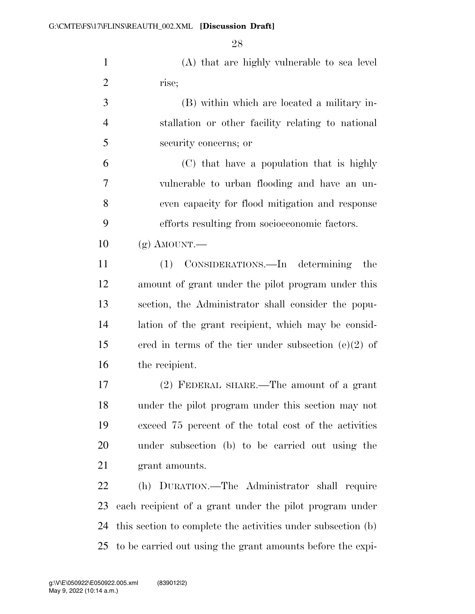(A) that are highly vulnerable to sea level rise;

 (B) within which are located a military in- stallation or other facility relating to national security concerns; or

 (C) that have a population that is highly vulnerable to urban flooding and have an un- even capacity for flood mitigation and response efforts resulting from socioeconomic factors.

 $10 \quad (g)$  AMOUNT.—

 (1) CONSIDERATIONS.—In determining the amount of grant under the pilot program under this section, the Administrator shall consider the popu- lation of the grant recipient, which may be consid- ered in terms of the tier under subsection (e)(2) of the recipient.

 (2) FEDERAL SHARE.—The amount of a grant under the pilot program under this section may not exceed 75 percent of the total cost of the activities under subsection (b) to be carried out using the 21 grant amounts.

 (h) DURATION.—The Administrator shall require each recipient of a grant under the pilot program under this section to complete the activities under subsection (b) to be carried out using the grant amounts before the expi-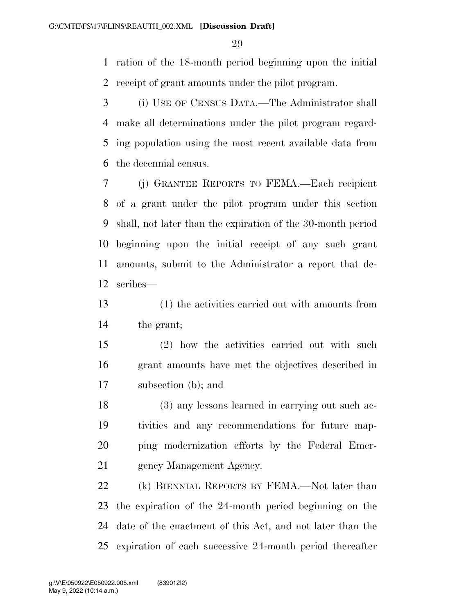ration of the 18-month period beginning upon the initial receipt of grant amounts under the pilot program.

 (i) USE OF CENSUS DATA.—The Administrator shall make all determinations under the pilot program regard- ing population using the most recent available data from the decennial census.

 (j) GRANTEE REPORTS TO FEMA.—Each recipient of a grant under the pilot program under this section shall, not later than the expiration of the 30-month period beginning upon the initial receipt of any such grant amounts, submit to the Administrator a report that de-scribes—

 (1) the activities carried out with amounts from the grant;

 (2) how the activities carried out with such grant amounts have met the objectives described in subsection (b); and

 (3) any lessons learned in carrying out such ac- tivities and any recommendations for future map- ping modernization efforts by the Federal Emer-gency Management Agency.

 (k) BIENNIAL REPORTS BY FEMA.—Not later than the expiration of the 24-month period beginning on the date of the enactment of this Act, and not later than the expiration of each successive 24-month period thereafter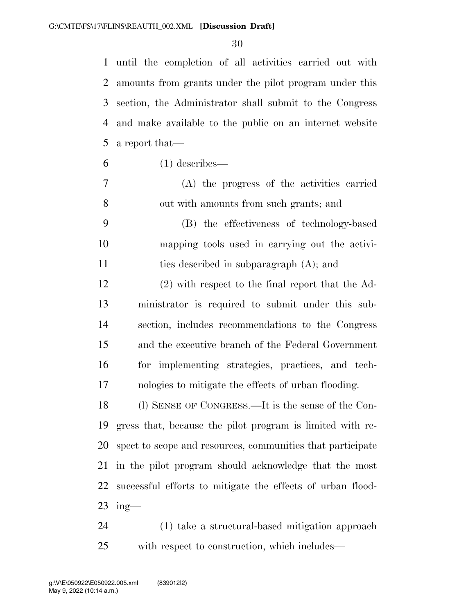until the completion of all activities carried out with amounts from grants under the pilot program under this section, the Administrator shall submit to the Congress and make available to the public on an internet website a report that—

- $6 \t(1)$  describes—
- (A) the progress of the activities carried out with amounts from such grants; and
- (B) the effectiveness of technology-based mapping tools used in carrying out the activi-ties described in subparagraph (A); and
- (2) with respect to the final report that the Ad- ministrator is required to submit under this sub- section, includes recommendations to the Congress and the executive branch of the Federal Government for implementing strategies, practices, and tech-nologies to mitigate the effects of urban flooding.

 (l) SENSE OF CONGRESS.—It is the sense of the Con- gress that, because the pilot program is limited with re- spect to scope and resources, communities that participate in the pilot program should acknowledge that the most successful efforts to mitigate the effects of urban flood-ing—

 (1) take a structural-based mitigation approach with respect to construction, which includes—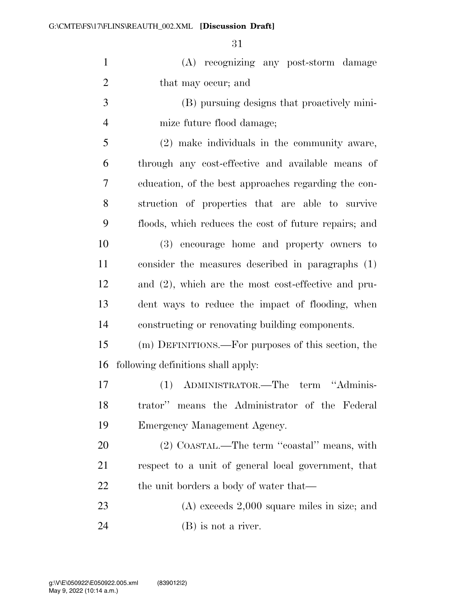| $\mathbf{1}$   | (A) recognizing any post-storm damage                  |
|----------------|--------------------------------------------------------|
| $\overline{2}$ | that may occur; and                                    |
| 3              | (B) pursuing designs that proactively mini-            |
| $\overline{4}$ | mize future flood damage;                              |
| 5              | (2) make individuals in the community aware,           |
| 6              | through any cost-effective and available means of      |
| 7              | education, of the best approaches regarding the con-   |
| 8              | struction of properties that are able to survive       |
| 9              | floods, which reduces the cost of future repairs; and  |
| 10             | (3) encourage home and property owners to              |
| 11             | consider the measures described in paragraphs (1)      |
| 12             | and $(2)$ , which are the most cost-effective and pru- |
| 13             | dent ways to reduce the impact of flooding, when       |
| 14             | constructing or renovating building components.        |
| 15             | (m) DEFINITIONS.—For purposes of this section, the     |
| 16             | following definitions shall apply:                     |
| 17             | (1) ADMINISTRATOR.—The term "Adminis-                  |
| 18             | trator" means the Administrator of the Federal         |
| 19             | Emergency Management Agency.                           |
| 20             | (2) COASTAL.—The term "coastal" means, with            |
| 21             | respect to a unit of general local government, that    |
| 22             | the unit borders a body of water that—                 |
| 23             | $(A)$ exceeds $2,000$ square miles in size; and        |
| 24             | $(B)$ is not a river.                                  |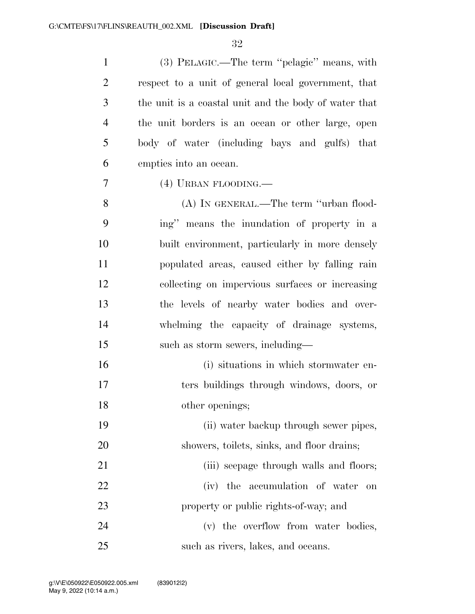(3) PELAGIC.—The term ''pelagic'' means, with respect to a unit of general local government, that the unit is a coastal unit and the body of water that the unit borders is an ocean or other large, open body of water (including bays and gulfs) that empties into an ocean.

(4) URBAN FLOODING.—

 (A) IN GENERAL.—The term ''urban flood- ing'' means the inundation of property in a built environment, particularly in more densely populated areas, caused either by falling rain collecting on impervious surfaces or increasing the levels of nearby water bodies and over- whelming the capacity of drainage systems, 15 such as storm sewers, including—

 (i) situations in which stormwater en- ters buildings through windows, doors, or other openings;

 (ii) water backup through sewer pipes, showers, toilets, sinks, and floor drains;

21 (iii) seepage through walls and floors; (iv) the accumulation of water on property or public rights-of-way; and

24 (v) the overflow from water bodies, 25 such as rivers, lakes, and oceans.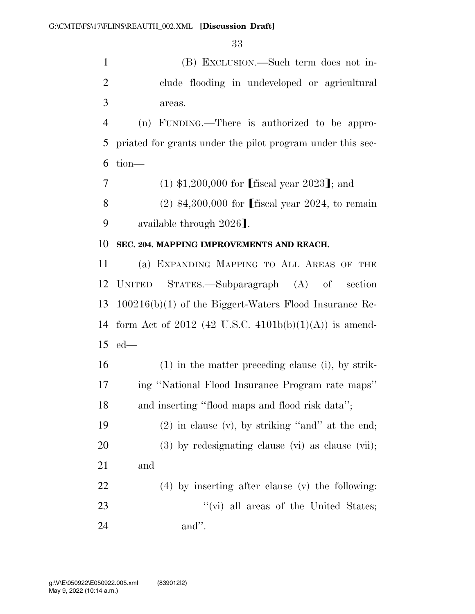(B) EXCLUSION.—Such term does not in- clude flooding in undeveloped or agricultural areas.

 (n) FUNDING.—There is authorized to be appro- priated for grants under the pilot program under this sec-tion—

7 (1)  $$1,200,000$  for fiscal year 2023]; and

8 (2)  $$4,300,000$  for [fiscal year 2024, to remain 9 available through 2026].

### **SEC. 204. MAPPING IMPROVEMENTS AND REACH.**

 (a) EXPANDING MAPPING TO ALL AREAS OF THE UNITED STATES.—Subparagraph (A) of section 100216(b)(1) of the Biggert-Waters Flood Insurance Re-14 form Act of 2012 (42 U.S.C.  $4101b(b)(1)(A)$ ) is amend-ed—

 (1) in the matter preceding clause (i), by strik- ing ''National Flood Insurance Program rate maps'' and inserting ''flood maps and flood risk data'';

 (2) in clause (v), by striking ''and'' at the end; (3) by redesignating clause (vi) as clause (vii); and (4) by inserting after clause (v) the following:

23 ''(vi) all areas of the United States; and''.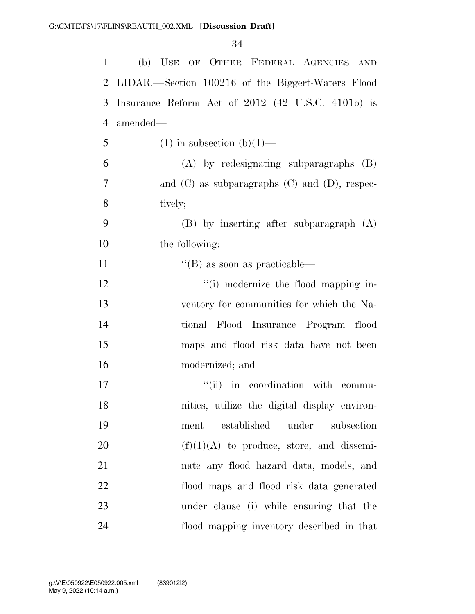| $\mathbf{1}$   | (b) USE OF OTHER FEDERAL AGENCIES AND                |
|----------------|------------------------------------------------------|
| $\overline{2}$ | LIDAR.—Section 100216 of the Biggert-Waters Flood    |
| 3              | Insurance Reform Act of 2012 (42 U.S.C. 4101b) is    |
| $\overline{4}$ | amended—                                             |
| 5              | $(1)$ in subsection $(b)(1)$ —                       |
| 6              | $(A)$ by redesignating subparagraphs $(B)$           |
| 7              | and $(C)$ as subparagraphs $(C)$ and $(D)$ , respec- |
| 8              | tively;                                              |
| 9              | $(B)$ by inserting after subparagraph $(A)$          |
| 10             | the following:                                       |
| 11             | $\lq$ (B) as soon as practicable—                    |
| 12             | "(i) modernize the flood mapping in-                 |
| 13             | ventory for communities for which the Na-            |
| 14             | tional Flood Insurance Program flood                 |
| 15             | maps and flood risk data have not been               |
| 16             | modernized; and                                      |
| 17             | "(ii) in coordination with commu-                    |
| 18             | nities, utilize the digital display environ-         |
| 19             | established<br>under<br>subsection<br>ment           |
| 20             | $(f)(1)(A)$ to produce, store, and dissemi-          |
| 21             | nate any flood hazard data, models, and              |
| 22             | flood maps and flood risk data generated             |
| 23             | under clause (i) while ensuring that the             |
| 24             | flood mapping inventory described in that            |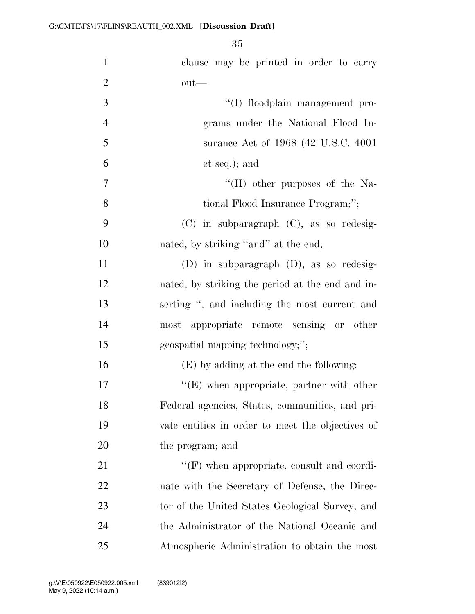| $\mathbf{1}$   | clause may be printed in order to carry           |
|----------------|---------------------------------------------------|
| $\overline{2}$ | $out$ —                                           |
| 3              | "(I) floodplain management pro-                   |
| $\overline{4}$ | grams under the National Flood In-                |
| 5              | surance Act of 1968 (42 U.S.C. 4001)              |
| 6              | et seq.); and                                     |
| $\overline{7}$ | "(II) other purposes of the Na-                   |
| 8              | tional Flood Insurance Program;";                 |
| 9              | $(C)$ in subparagraph $(C)$ , as so redesig-      |
| 10             | nated, by striking "and" at the end;              |
| 11             | $(D)$ in subparagraph $(D)$ , as so redesig-      |
| 12             | nated, by striking the period at the end and in-  |
| 13             | serting ", and including the most current and     |
| 14             | most appropriate remote sensing or other          |
| 15             | geospatial mapping technology;";                  |
| 16             | (E) by adding at the end the following:           |
| 17             | $\lq\lq(E)$ when appropriate, partner with other  |
| 18             | Federal agencies, States, communities, and pri-   |
| 19             | vate entities in order to meet the objectives of  |
| 20             | the program; and                                  |
| 21             | $\lq\lq(F)$ when appropriate, consult and coordi- |
| 22             | nate with the Secretary of Defense, the Direc-    |
| 23             | tor of the United States Geological Survey, and   |
| 24             | the Administrator of the National Oceanic and     |
| 25             | Atmospheric Administration to obtain the most     |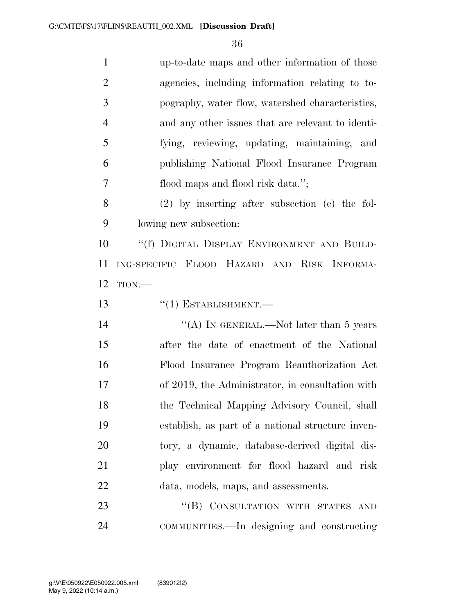| $\mathbf{1}$   | up-to-date maps and other information of those    |
|----------------|---------------------------------------------------|
| $\overline{2}$ | agencies, including information relating to to-   |
| 3              | pography, water flow, watershed characteristics,  |
| $\overline{4}$ | and any other issues that are relevant to identi- |
| 5              | fying, reviewing, updating, maintaining, and      |
| 6              | publishing National Flood Insurance Program       |
| 7              | flood maps and flood risk data.";                 |
| 8              | $(2)$ by inserting after subsection (e) the fol-  |
| 9              | lowing new subsection:                            |
| 10             | "(f) DIGITAL DISPLAY ENVIRONMENT AND BUILD-       |
| 11             | ING-SPECIFIC FLOOD HAZARD AND RISK INFORMA-       |
| 12             | TION.                                             |
| 13             | $``(1)$ ESTABLISHMENT.—                           |
|                |                                                   |
| 14             | "(A) IN GENERAL.—Not later than 5 years           |
| 15             | after the date of enactment of the National       |
| 16             | Flood Insurance Program Reauthorization Act       |
| 17             | of 2019, the Administrator, in consultation with  |
| 18             | the Technical Mapping Advisory Council, shall     |
| 19             | establish, as part of a national structure inven- |
| 20             | tory, a dynamic, database-derived digital dis-    |
| 21             | play environment for flood hazard and risk        |
| 22             | data, models, maps, and assessments.              |
| 23             | "(B) CONSULTATION WITH STATES AND                 |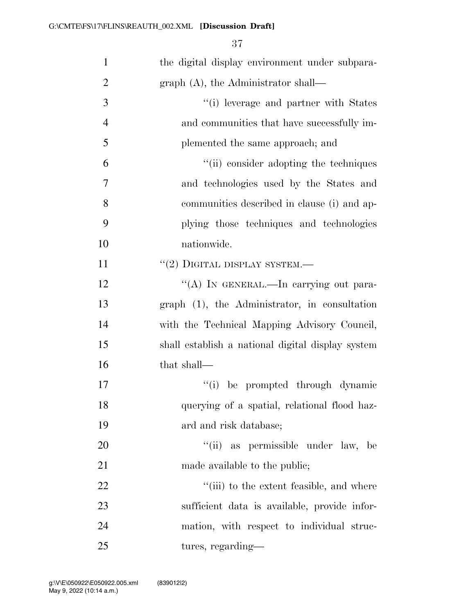| $\mathbf{1}$   | the digital display environment under subpara-    |
|----------------|---------------------------------------------------|
| $\overline{2}$ | $graph(A)$ , the Administrator shall—             |
| 3              | "(i) leverage and partner with States             |
| $\overline{4}$ | and communities that have successfully im-        |
| 5              | plemented the same approach; and                  |
| 6              | "(ii) consider adopting the techniques            |
| 7              | and technologies used by the States and           |
| 8              | communities described in clause (i) and ap-       |
| 9              | plying those techniques and technologies          |
| 10             | nationwide.                                       |
| 11             | $``(2)$ DIGITAL DISPLAY SYSTEM.—                  |
| 12             | "(A) IN GENERAL.—In carrying out para-            |
| 13             | graph (1), the Administrator, in consultation     |
| 14             | with the Technical Mapping Advisory Council,      |
| 15             | shall establish a national digital display system |
| 16             | that shall-                                       |
| 17             | "(i) be prompted through dynamic                  |
| 18             | querying of a spatial, relational flood haz-      |
| 19             | ard and risk database;                            |
| 20             | "(ii) as permissible under law, be                |
| 21             | made available to the public;                     |
| 22             | "(iii) to the extent feasible, and where          |
| 23             | sufficient data is available, provide infor-      |
| 24             | mation, with respect to individual struc-         |
| 25             | tures, regarding—                                 |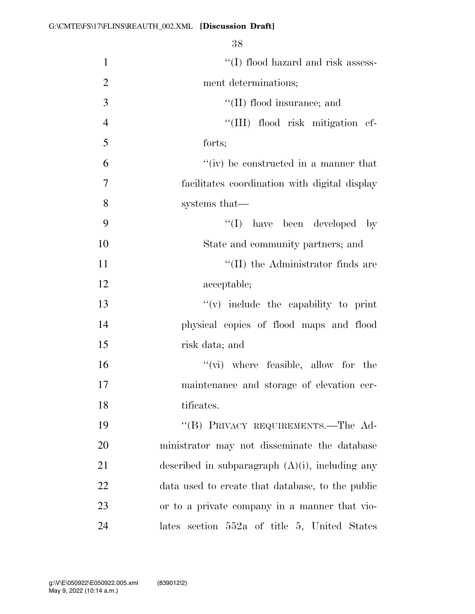| $\mathbf{1}$   | "(I) flood hazard and risk assess-                 |
|----------------|----------------------------------------------------|
| $\overline{2}$ | ment determinations;                               |
| 3              | "(II) flood insurance; and                         |
| $\overline{4}$ | "(III) flood risk mitigation ef-                   |
| 5              | forts;                                             |
| 6              | "(iv) be constructed in a manner that              |
| 7              | facilitates coordination with digital display      |
| 8              | systems that—                                      |
| 9              | "(I) have been developed by                        |
| 10             | State and community partners; and                  |
| 11             | "(II) the Administrator finds are                  |
| 12             | acceptable;                                        |
| 13             | $f'(v)$ include the capability to print            |
| 14             | physical copies of flood maps and flood            |
| 15             | risk data; and                                     |
| 16             | $\lq\lq$ (vi) where feasible, allow for the        |
| 17             | maintenance and storage of elevation cer-          |
| 18             | tificates.                                         |
| 19             | "(B) PRIVACY REQUIREMENTS.—The Ad-                 |
| 20             | ministrator may not disseminate the database       |
| 21             | described in subparagraph $(A)(i)$ , including any |
| 22             | data used to create that database, to the public   |
| 23             | or to a private company in a manner that vio-      |
| 24             | lates section 552a of title 5, United States       |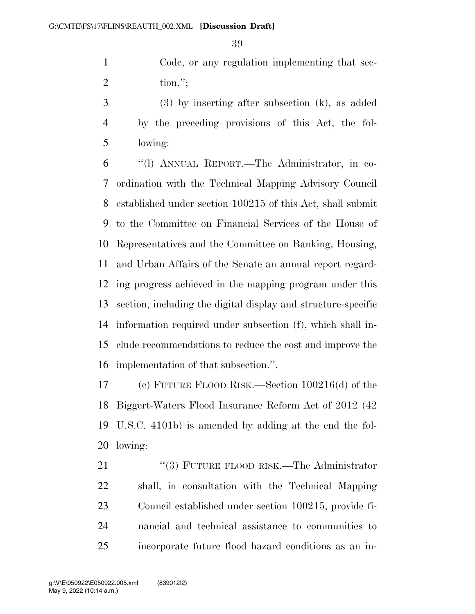Code, or any regulation implementing that sec-tion.'';

 (3) by inserting after subsection (k), as added by the preceding provisions of this Act, the fol-lowing:

 ''(l) ANNUAL REPORT.—The Administrator, in co- ordination with the Technical Mapping Advisory Council established under section 100215 of this Act, shall submit to the Committee on Financial Services of the House of Representatives and the Committee on Banking, Housing, and Urban Affairs of the Senate an annual report regard- ing progress achieved in the mapping program under this section, including the digital display and structure-specific information required under subsection (f), which shall in- clude recommendations to reduce the cost and improve the implementation of that subsection.''.

 (c) FUTURE FLOOD RISK.—Section 100216(d) of the Biggert-Waters Flood Insurance Reform Act of 2012 (42 U.S.C. 4101b) is amended by adding at the end the fol-lowing:

21 "(3) FUTURE FLOOD RISK.—The Administrator shall, in consultation with the Technical Mapping Council established under section 100215, provide fi- nancial and technical assistance to communities to incorporate future flood hazard conditions as an in-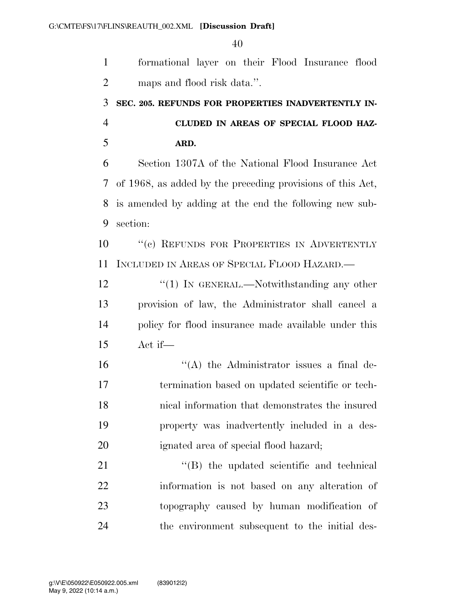formational layer on their Flood Insurance flood maps and flood risk data.''. **SEC. 205. REFUNDS FOR PROPERTIES INADVERTENTLY IN- CLUDED IN AREAS OF SPECIAL FLOOD HAZ- ARD.**  Section 1307A of the National Flood Insurance Act of 1968, as added by the preceding provisions of this Act, is amended by adding at the end the following new sub- section: ''(c) REFUNDS FOR PROPERTIES IN ADVERTENTLY INCLUDED IN AREAS OF SPECIAL FLOOD HAZARD.— 12 "(1) IN GENERAL.—Notwithstanding any other provision of law, the Administrator shall cancel a policy for flood insurance made available under this Act if— ''(A) the Administrator issues a final de- termination based on updated scientific or tech- nical information that demonstrates the insured property was inadvertently included in a des- ignated area of special flood hazard; 21 "'(B) the updated scientific and technical information is not based on any alteration of topography caused by human modification of the environment subsequent to the initial des-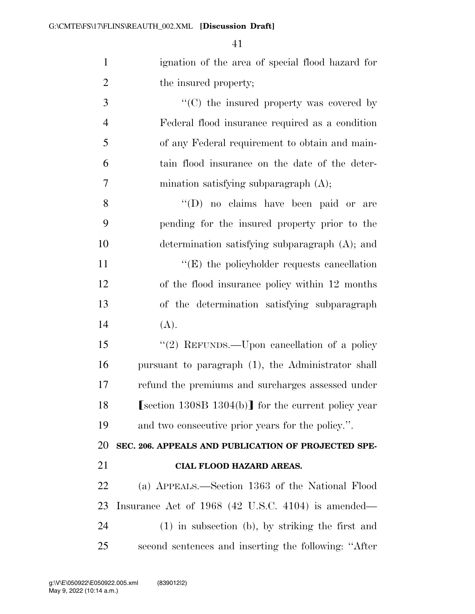| $\mathbf{1}$   | ignation of the area of special flood hazard for        |
|----------------|---------------------------------------------------------|
| $\overline{2}$ | the insured property;                                   |
| 3              | $\cdot$ (C) the insured property was covered by         |
| $\overline{4}$ | Federal flood insurance required as a condition         |
| 5              | of any Federal requirement to obtain and main-          |
| 6              | tain flood insurance on the date of the deter-          |
| $\tau$         | mination satisfying subparagraph (A);                   |
| 8              | "(D) no claims have been paid or are                    |
| 9              | pending for the insured property prior to the           |
| 10             | determination satisfying subparagraph (A); and          |
| 11             | $\lq\lq$ the policyholder requests cancellation         |
| 12             | of the flood insurance policy within 12 months          |
| 13             | of the determination satisfying subparagraph            |
| 14             | (A).                                                    |
| 15             | "(2) REFUNDS.—Upon cancellation of a policy             |
| 16             | pursuant to paragraph (1), the Administrator shall      |
| 17             | refund the premiums and surcharges assessed under       |
| 18             | $[section\ 1308B\ 1304(b)]$ for the current policy year |
| 19             | and two consecutive prior years for the policy.".       |
| 20             | SEC. 206. APPEALS AND PUBLICATION OF PROJECTED SPE-     |
| 21             | <b>CIAL FLOOD HAZARD AREAS.</b>                         |
| 22             | (a) APPEALS.—Section 1363 of the National Flood         |
| 23             | Insurance Act of $1968$ (42 U.S.C. 4104) is amended—    |
| 24             | $(1)$ in subsection (b), by striking the first and      |
| 25             | second sentences and inserting the following: "After    |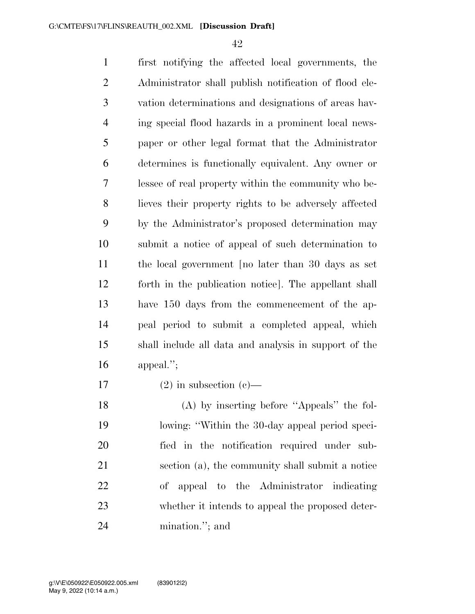first notifying the affected local governments, the Administrator shall publish notification of flood ele- vation determinations and designations of areas hav- ing special flood hazards in a prominent local news- paper or other legal format that the Administrator determines is functionally equivalent. Any owner or lessee of real property within the community who be- lieves their property rights to be adversely affected by the Administrator's proposed determination may submit a notice of appeal of such determination to the local government [no later than 30 days as set forth in the publication notice]. The appellant shall have 150 days from the commencement of the ap- peal period to submit a completed appeal, which shall include all data and analysis in support of the appeal.'';

17 (2) in subsection  $(c)$ —

 (A) by inserting before ''Appeals'' the fol- lowing: ''Within the 30-day appeal period speci- fied in the notification required under sub- section (a), the community shall submit a notice of appeal to the Administrator indicating whether it intends to appeal the proposed deter-mination.''; and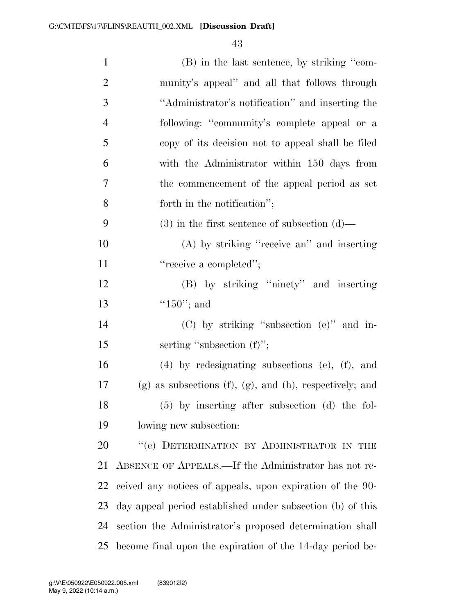| $\mathbf{1}$   | (B) in the last sentence, by striking "com-                        |
|----------------|--------------------------------------------------------------------|
| $\overline{2}$ | munity's appeal" and all that follows through                      |
| 3              | "Administrator's notification" and inserting the                   |
| $\overline{4}$ | following: "community's complete appeal or a                       |
| 5              | copy of its decision not to appeal shall be filed                  |
| 6              | with the Administrator within 150 days from                        |
| $\tau$         | the commencement of the appeal period as set                       |
| 8              | forth in the notification";                                        |
| 9              | $(3)$ in the first sentence of subsection $(d)$ —                  |
| 10             | (A) by striking "receive an" and inserting                         |
| 11             | "receive a completed";                                             |
| 12             | (B) by striking "ninety" and inserting                             |
| 13             | " $150$ "; and                                                     |
| 14             | $(C)$ by striking "subsection $(e)$ " and in-                      |
| 15             | serting "subsection $(f)$ ";                                       |
| 16             | $(4)$ by redesignating subsections $(e)$ , $(f)$ , and             |
| 17             | $(g)$ as subsections $(f)$ , $(g)$ , and $(h)$ , respectively; and |
| 18             | $(5)$ by inserting after subsection $(d)$ the fol-                 |
| 19             | lowing new subsection:                                             |
| 20             | "(e) DETERMINATION BY ADMINISTRATOR IN THE                         |
| 21             | ABSENCE OF APPEALS.—If the Administrator has not re-               |
| 22             | ceived any notices of appeals, upon expiration of the 90-          |
| 23             | day appeal period established under subsection (b) of this         |
| 24             | section the Administrator's proposed determination shall           |
| 25             | become final upon the expiration of the 14-day period be-          |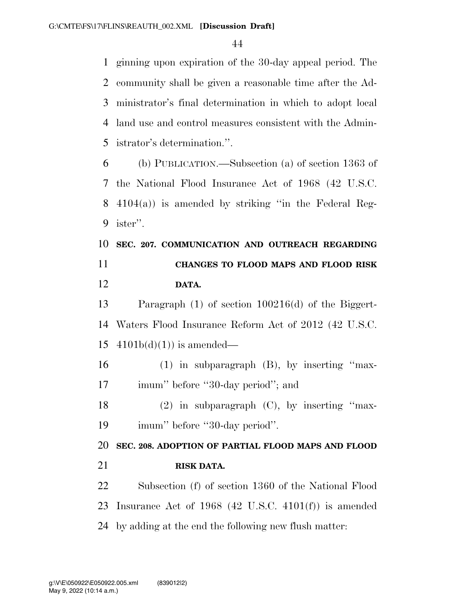ginning upon expiration of the 30-day appeal period. The community shall be given a reasonable time after the Ad- ministrator's final determination in which to adopt local land use and control measures consistent with the Admin-istrator's determination.''.

 (b) PUBLICATION.—Subsection (a) of section 1363 of the National Flood Insurance Act of 1968 (42 U.S.C. 4104(a)) is amended by striking ''in the Federal Reg-ister''.

 **SEC. 207. COMMUNICATION AND OUTREACH REGARDING CHANGES TO FLOOD MAPS AND FLOOD RISK DATA.** 

 Paragraph (1) of section 100216(d) of the Biggert- Waters Flood Insurance Reform Act of 2012 (42 U.S.C. 15  $4101b(d)(1)$  is amended—

 (1) in subparagraph (B), by inserting ''max-17 imum'' before "30-day period"; and

 (2) in subparagraph (C), by inserting ''max-imum'' before ''30-day period''.

 **SEC. 208. ADOPTION OF PARTIAL FLOOD MAPS AND FLOOD RISK DATA.** 

 Subsection (f) of section 1360 of the National Flood Insurance Act of 1968 (42 U.S.C. 4101(f)) is amended by adding at the end the following new flush matter: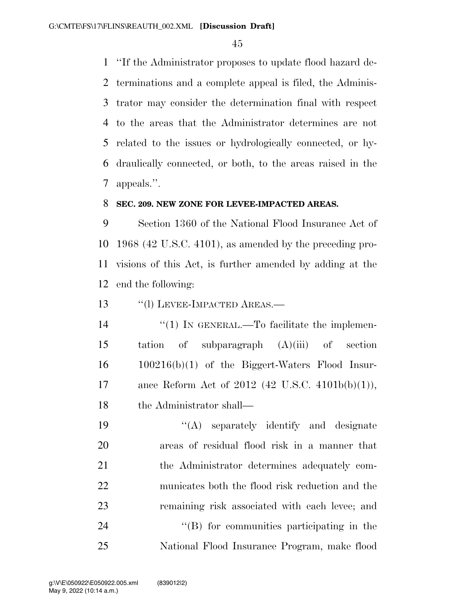''If the Administrator proposes to update flood hazard de- terminations and a complete appeal is filed, the Adminis- trator may consider the determination final with respect to the areas that the Administrator determines are not related to the issues or hydrologically connected, or hy- draulically connected, or both, to the areas raised in the appeals.''.

#### **SEC. 209. NEW ZONE FOR LEVEE-IMPACTED AREAS.**

 Section 1360 of the National Flood Insurance Act of 1968 (42 U.S.C. 4101), as amended by the preceding pro- visions of this Act, is further amended by adding at the end the following:

13 "(1) LEVEE-IMPACTED AREAS.—

 $\frac{1}{2}$  (1) In GENERAL.—To facilitate the implemen- tation of subparagraph (A)(iii) of section 100216(b)(1) of the Biggert-Waters Flood Insur- ance Reform Act of 2012 (42 U.S.C. 4101b(b)(1)), the Administrator shall—

19 ''(A) separately identify and designate areas of residual flood risk in a manner that the Administrator determines adequately com- municates both the flood risk reduction and the remaining risk associated with each levee; and  $\text{``(B)}$  for communities participating in the National Flood Insurance Program, make flood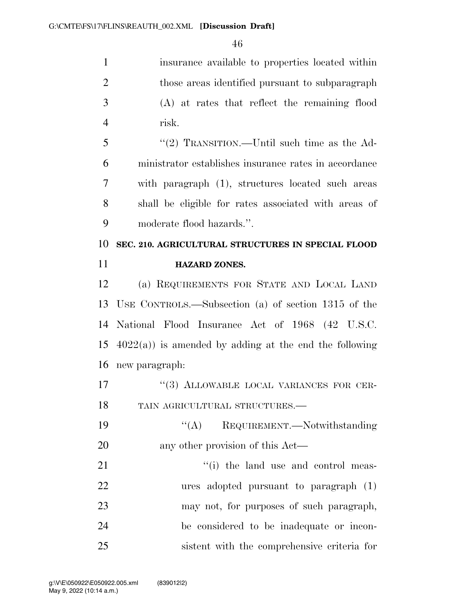insurance available to properties located within those areas identified pursuant to subparagraph (A) at rates that reflect the remaining flood risk.

 ''(2) TRANSITION.—Until such time as the Ad- ministrator establishes insurance rates in accordance with paragraph (1), structures located such areas shall be eligible for rates associated with areas of moderate flood hazards.''.

 **SEC. 210. AGRICULTURAL STRUCTURES IN SPECIAL FLOOD HAZARD ZONES.** 

 (a) REQUIREMENTS FOR STATE AND LOCAL LAND USE CONTROLS.—Subsection (a) of section 1315 of the National Flood Insurance Act of 1968 (42 U.S.C.  $4022(a)$  is amended by adding at the end the following new paragraph:

17 "(3) ALLOWABLE LOCAL VARIANCES FOR CER-TAIN AGRICULTURAL STRUCTURES.—

19 "(A) REQUIREMENT.—Notwithstanding 20 any other provision of this Act—

21 ''(i) the land use and control meas- ures adopted pursuant to paragraph (1) may not, for purposes of such paragraph, be considered to be inadequate or incon-sistent with the comprehensive criteria for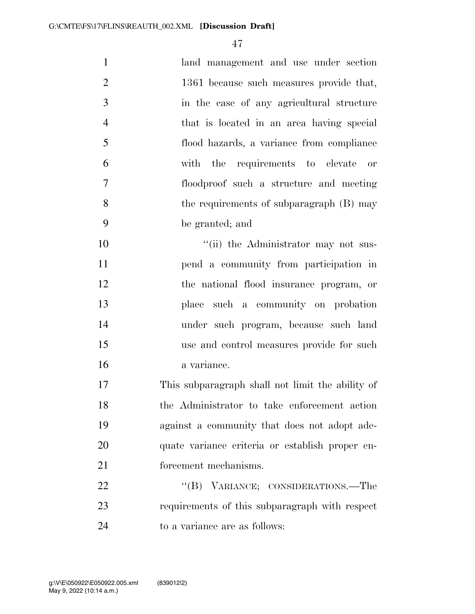| $\mathbf{1}$   | land management and use under section            |
|----------------|--------------------------------------------------|
| $\overline{2}$ | 1361 because such measures provide that,         |
| 3              | in the case of any agricultural structure        |
| $\overline{4}$ | that is located in an area having special        |
| 5              | flood hazards, a variance from compliance        |
| 6              | with the requirements to elevate or              |
| 7              | floodproof such a structure and meeting          |
| 8              | the requirements of subparagraph (B) may         |
| 9              | be granted; and                                  |
| 10             | "(ii) the Administrator may not sus-             |
| 11             | pend a community from participation in           |
| 12             | the national flood insurance program, or         |
| 13             | place such a community on probation              |
| 14             | under such program, because such land            |
| 15             | use and control measures provide for such        |
| 16             | a variance.                                      |
| 17             | This subparagraph shall not limit the ability of |
| 18             | the Administrator to take enforcement action     |
| 19             | against a community that does not adopt ade-     |
| 20             | quate variance criteria or establish proper en-  |
| 21             | forcement mechanisms.                            |
| 22             | "(B) VARIANCE; CONSIDERATIONS.—The               |
| 23             | requirements of this subparagraph with respect   |
| 24             | to a variance are as follows:                    |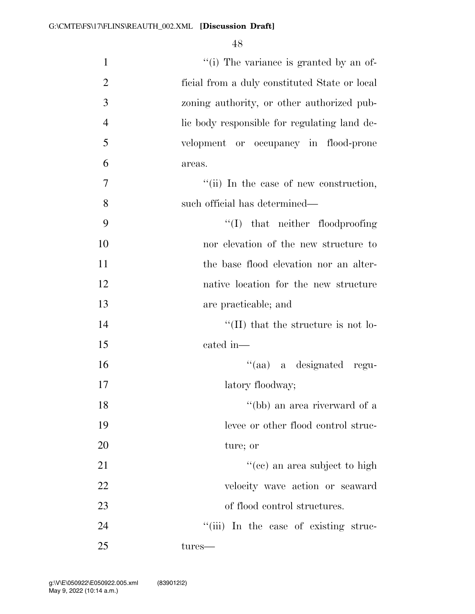| $\mathbf{1}$   | "(i) The variance is granted by an of-        |
|----------------|-----------------------------------------------|
| $\overline{2}$ | ficial from a duly constituted State or local |
| 3              | zoning authority, or other authorized pub-    |
| $\overline{4}$ | lie body responsible for regulating land de-  |
| 5              | velopment or occupancy in flood-prone         |
| 6              | areas.                                        |
| 7              | "(ii) In the case of new construction,        |
| 8              | such official has determined—                 |
| 9              | $\lq\lq$ that neither floodproofing           |
| 10             | nor elevation of the new structure to         |
| 11             | the base flood elevation nor an alter-        |
| 12             | native location for the new structure         |
| 13             | are practicable; and                          |
| 14             | $\lq$ (II) that the structure is not lo-      |
| 15             | cated in-                                     |
| 16             | "(aa) a designated regu-                      |
| 17             | latory floodway;                              |
| 18             | "(bb) an area riverward of a                  |
| 19             | levee or other flood control struc-           |
| 20             | ture; or                                      |
| 21             | "(cc) an area subject to high                 |
| 22             | velocity wave action or seaward               |
| 23             | of flood control structures.                  |
| 24             | "(iii) In the case of existing struc-         |
| 25             | tures—                                        |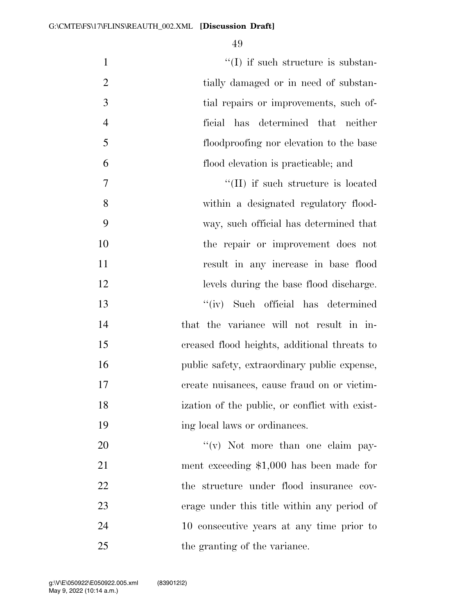$''(I)$  if such structure is substan-2 tially damaged or in need of substan- tial repairs or improvements, such of- ficial has determined that neither floodproofing nor elevation to the base flood elevation is practicable; and  $''(II)$  if such structure is located within a designated regulatory flood- way, such official has determined that the repair or improvement does not result in any increase in base flood levels during the base flood discharge. ''(iv) Such official has determined that the variance will not result in in- creased flood heights, additional threats to public safety, extraordinary public expense, create nuisances, cause fraud on or victim- ization of the public, or conflict with exist-19 ing local laws or ordinances.  $\gamma$  ''(v) Not more than one claim pay- ment exceeding \$1,000 has been made for 22 the structure under flood insurance cov-erage under this title within any period of

10 consecutive years at any time prior to

25 the granting of the variance.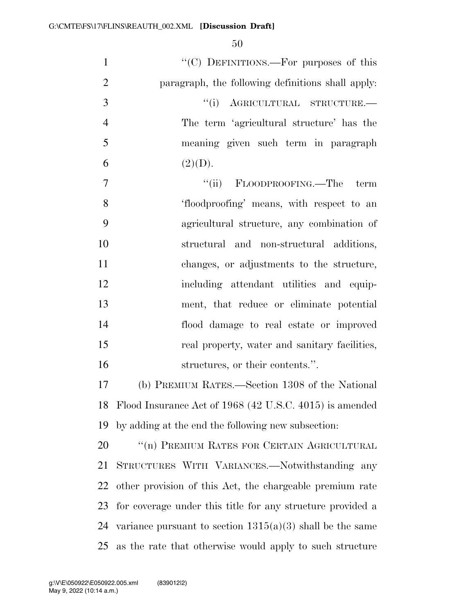| $\mathbf{1}$   | "(C) DEFINITIONS.—For purposes of this                      |
|----------------|-------------------------------------------------------------|
| $\overline{2}$ | paragraph, the following definitions shall apply:           |
| 3              | "(i) AGRICULTURAL STRUCTURE.-                               |
| $\overline{4}$ | The term 'agricultural structure' has the                   |
| 5              | meaning given such term in paragraph                        |
| 6              | (2)(D).                                                     |
| 7              | "(ii) FLOODPROOFING.—The term                               |
| 8              | 'floodproofing' means, with respect to an                   |
| 9              | agricultural structure, any combination of                  |
| 10             | structural and non-structural additions,                    |
| 11             | changes, or adjustments to the structure,                   |
| 12             | including attendant utilities and equip-                    |
| 13             | ment, that reduce or eliminate potential                    |
| 14             | flood damage to real estate or improved                     |
| 15             | real property, water and sanitary facilities,               |
| 16             | structures, or their contents.".                            |
| 17             | (b) PREMIUM RATES.—Section 1308 of the National             |
| 18             | Flood Insurance Act of 1968 (42 U.S.C. 4015) is amended     |
| 19             | by adding at the end the following new subsection:          |
| 20             | "(n) PREMIUM RATES FOR CERTAIN AGRICULTURAL                 |
| 21             | STRUCTURES WITH VARIANCES.-Notwithstanding any              |
| 22             | other provision of this Act, the chargeable premium rate    |
| 23             | for coverage under this title for any structure provided a  |
| 24             | variance pursuant to section $1315(a)(3)$ shall be the same |

as the rate that otherwise would apply to such structure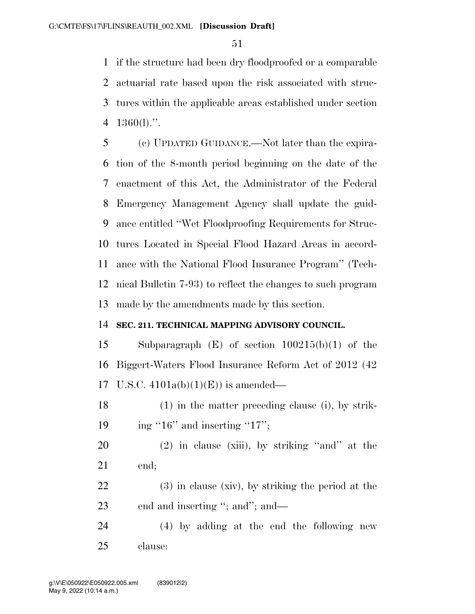if the structure had been dry floodproofed or a comparable actuarial rate based upon the risk associated with struc- tures within the applicable areas established under section 1360(l).''.

 (c) UPDATED GUIDANCE.—Not later than the expira- tion of the 8-month period beginning on the date of the enactment of this Act, the Administrator of the Federal Emergency Management Agency shall update the guid- ance entitled ''Wet Floodproofing Requirements for Struc- tures Located in Special Flood Hazard Areas in accord- ance with the National Flood Insurance Program'' (Tech- nical Bulletin 7-93) to reflect the changes to such program made by the amendments made by this section.

## **SEC. 211. TECHNICAL MAPPING ADVISORY COUNCIL.**

 Subparagraph (E) of section 100215(b)(1) of the Biggert-Waters Flood Insurance Reform Act of 2012 (42 17 U.S.C.  $4101a(b)(1)(E)$  is amended—

 (1) in the matter preceding clause (i), by strik-19 ing "16" and inserting "17";

 (2) in clause (xiii), by striking ''and'' at the end;

 (3) in clause (xiv), by striking the period at the 23 end and inserting "; and"; and—

 (4) by adding at the end the following new clause: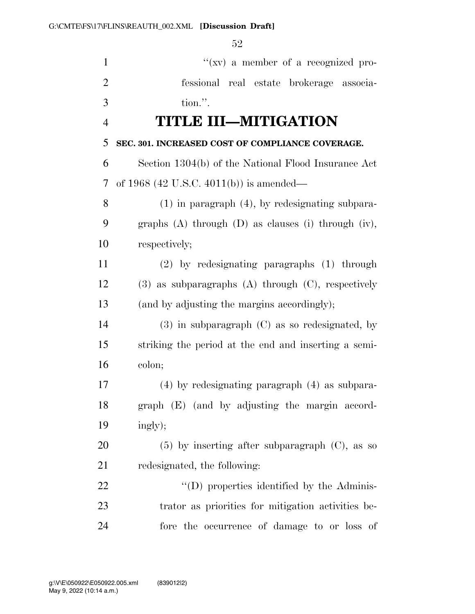| $\mathbf{1}$   | " $(xv)$ a member of a recognized pro-                       |
|----------------|--------------------------------------------------------------|
| $\overline{2}$ | fessional real estate brokerage associa-                     |
| 3              | tion.".                                                      |
| $\overline{4}$ | <b>TITLE III-MITIGATION</b>                                  |
| 5              | SEC. 301. INCREASED COST OF COMPLIANCE COVERAGE.             |
| 6              | Section 1304(b) of the National Flood Insurance Act          |
| 7              | of 1968 (42 U.S.C. 4011(b)) is amended—                      |
| 8              | $(1)$ in paragraph $(4)$ , by redesignating subpara-         |
| 9              | graphs $(A)$ through $(D)$ as clauses $(i)$ through $(iv)$ , |
| 10             | respectively;                                                |
| 11             | $(2)$ by redesignating paragraphs $(1)$ through              |
| 12             | $(3)$ as subparagraphs $(A)$ through $(C)$ , respectively    |
| 13             | (and by adjusting the margins accordingly);                  |
| 14             | $(3)$ in subparagraph $(C)$ as so redesignated, by           |
| 15             | striking the period at the end and inserting a semi-         |
| 16             | colon;                                                       |
| 17             | (4) by redesignating paragraph (4) as subpara-               |
| 18             | graph (E) (and by adjusting the margin accord-               |
| 19             | ingly);                                                      |
| 20             | $(5)$ by inserting after subparagraph $(C)$ , as so          |
| 21             | redesignated, the following:                                 |
| 22             | "(D) properties identified by the Adminis-                   |
| 23             | trator as priorities for mitigation activities be-           |
| 24             | fore the occurrence of damage to or loss of                  |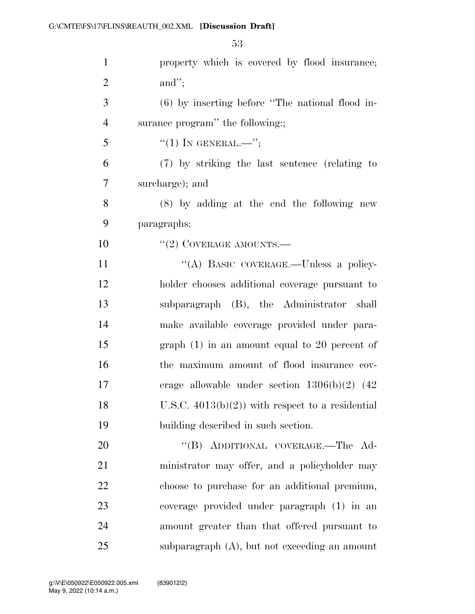| $\mathbf{1}$   | property which is covered by flood insurance;       |
|----------------|-----------------------------------------------------|
| $\overline{2}$ | and";                                               |
| 3              | $(6)$ by inserting before "The national flood in-   |
| $\overline{4}$ | surance program" the following:;                    |
| 5              | $``(1)$ IN GENERAL.—";                              |
| 6              | (7) by striking the last sentence (relating to      |
| 7              | surcharge); and                                     |
| 8              | $(8)$ by adding at the end the following new        |
| 9              | paragraphs:                                         |
| 10             | $``(2)$ COVERAGE AMOUNTS.—                          |
| 11             | "(A) BASIC COVERAGE.-Unless a policy-               |
| 12             | holder chooses additional coverage pursuant to      |
| 13             | subparagraph (B), the Administrator shall           |
| 14             | make available coverage provided under para-        |
| 15             | graph $(1)$ in an amount equal to 20 percent of     |
| 16             | the maximum amount of flood insurance cov-          |
| 17             | erage allowable under section $1306(b)(2)$ (42)     |
| 18             | U.S.C. $4013(b)(2)$ ) with respect to a residential |
| 19             | building described in such section.                 |
| 20             | "(B) ADDITIONAL COVERAGE.—The Ad-                   |
| 21             | ministrator may offer, and a policyholder may       |
| 22             | choose to purchase for an additional premium,       |
| 23             | coverage provided under paragraph (1) in an         |
| 24             | amount greater than that offered pursuant to        |
| 25             | subparagraph $(A)$ , but not exceeding an amount    |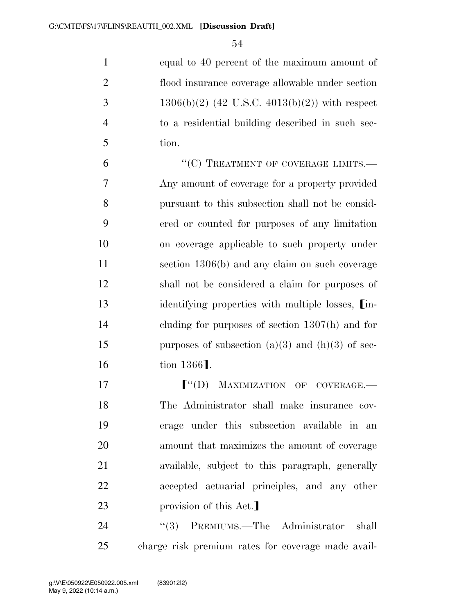equal to 40 percent of the maximum amount of flood insurance coverage allowable under section 3 1306(b)(2) (42 U.S.C. 4013(b)(2)) with respect to a residential building described in such sec-tion.

6 "(C) TREATMENT OF COVERAGE LIMITS.— Any amount of coverage for a property provided pursuant to this subsection shall not be consid- ered or counted for purposes of any limitation on coverage applicable to such property under section 1306(b) and any claim on such coverage shall not be considered a claim for purposes of 13 identifying properties with multiple losses.  $\lim_{h \to 0}$  cluding for purposes of section 1307(h) and for 15 purposes of subsection  $(a)(3)$  and  $(h)(3)$  of sec-16 tion 1366**]**.

**F**"(D) MAXIMIZATION OF COVERAGE.— The Administrator shall make insurance cov- erage under this subsection available in an amount that maximizes the amount of coverage available, subject to this paragraph, generally accepted actuarial principles, and any other 23 provision of this Act.

24 "(3) PREMIUMS.—The Administrator shall charge risk premium rates for coverage made avail-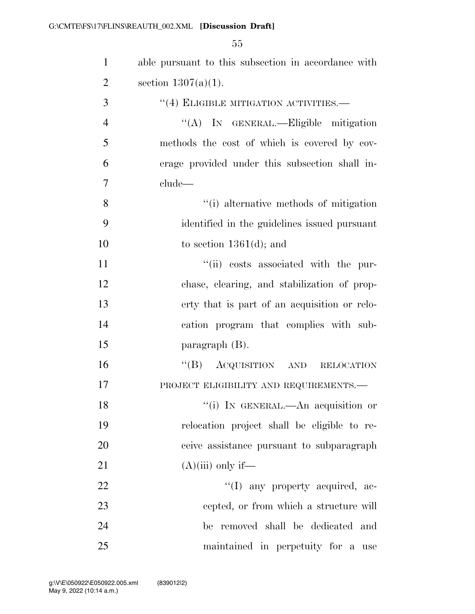| $\mathbf{1}$   | able pursuant to this subsection in accordance with |
|----------------|-----------------------------------------------------|
| $\overline{2}$ | section $1307(a)(1)$ .                              |
| 3              | "(4) ELIGIBLE MITIGATION ACTIVITIES.—               |
| $\overline{4}$ | "(A) IN GENERAL.—Eligible mitigation                |
| 5              | methods the cost of which is covered by cov-        |
| 6              | erage provided under this subsection shall in-      |
| 7              | clude—                                              |
| 8              | "(i) alternative methods of mitigation              |
| 9              | identified in the guidelines issued pursuant        |
| 10             | to section $1361(d)$ ; and                          |
| 11             | "(ii) costs associated with the pur-                |
| 12             | chase, clearing, and stabilization of prop-         |
| 13             | erty that is part of an acquisition or relo-        |
| 14             | cation program that complies with sub-              |
| 15             | paragraph $(B)$ .                                   |
| 16             | "(B) ACQUISITION AND RELOCATION                     |
| 17             | PROJECT ELIGIBILITY AND REQUIREMENTS.-              |
| 18             | "(i) IN GENERAL.—An acquisition or                  |
| 19             | relocation project shall be eligible to re-         |
| 20             | ceive assistance pursuant to subparagraph           |
| 21             | $(A)(iii)$ only if—                                 |
| 22             | "(I) any property acquired, ac-                     |
| 23             | cepted, or from which a structure will              |
| 24             | be removed shall be dedicated and                   |
| 25             | maintained in perpetuity for a use                  |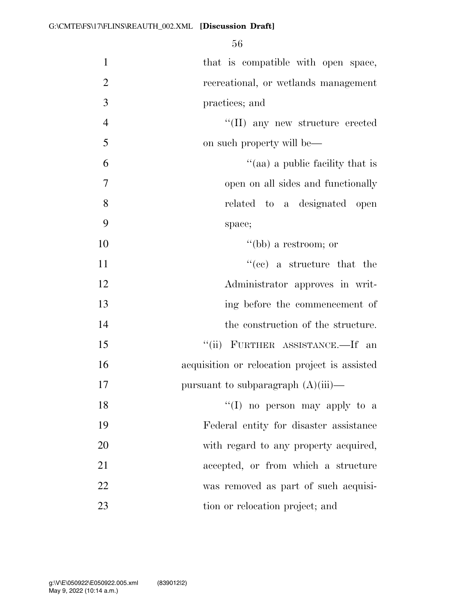| $\mathbf{1}$   | that is compatible with open space,           |
|----------------|-----------------------------------------------|
| $\overline{2}$ | recreational, or wetlands management          |
| 3              | practices; and                                |
| $\overline{4}$ | "(II) any new structure erected               |
| 5              | on such property will be—                     |
| 6              | "(aa) a public facility that is               |
| $\overline{7}$ | open on all sides and functionally            |
| 8              | related to a designated open                  |
| 9              | space;                                        |
| 10             | "(bb) a restroom; or                          |
| 11             | $f''(ce)$ a structure that the                |
| 12             | Administrator approves in writ-               |
| 13             | ing before the commencement of                |
| 14             | the construction of the structure.            |
| 15             | "(ii) FURTHER ASSISTANCE.—If an               |
| 16             | acquisition or relocation project is assisted |
| 17             | pursuant to subparagraph $(A)(iii)$ —         |
| 18             | $\lq(1)$ no person may apply to a             |
| 19             | Federal entity for disaster assistance        |
| 20             | with regard to any property acquired,         |
| 21             | accepted, or from which a structure           |
| 22             | was removed as part of such acquisi-          |
| 23             | tion or relocation project; and               |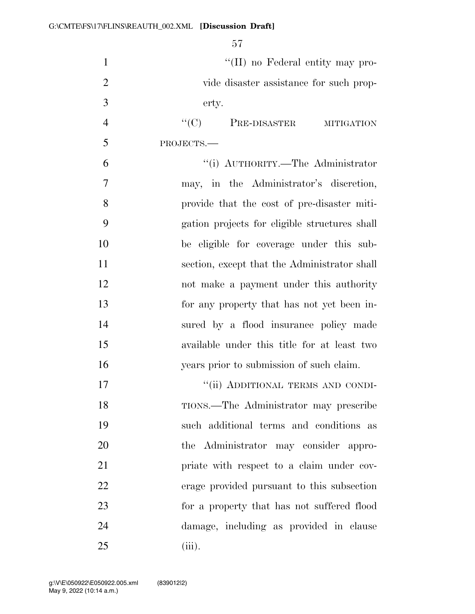$\lq(II)$  no Federal entity may pro- vide disaster assistance for such prop- erty. 4 "(C) PRE-DISASTER MITIGATION PROJECTS.— ''(i) AUTHORITY.—The Administrator may, in the Administrator's discretion, provide that the cost of pre-disaster miti- gation projects for eligible structures shall be eligible for coverage under this sub-11 section, except that the Administrator shall not make a payment under this authority for any property that has not yet been in- sured by a flood insurance policy made available under this title for at least two

 years prior to submission of such claim. 17 "'(ii) ADDITIONAL TERMS AND CONDI- TIONS.—The Administrator may prescribe such additional terms and conditions as the Administrator may consider appro-**priate with respect to a claim under cov-** erage provided pursuant to this subsection for a property that has not suffered flood damage, including as provided in clause (iii).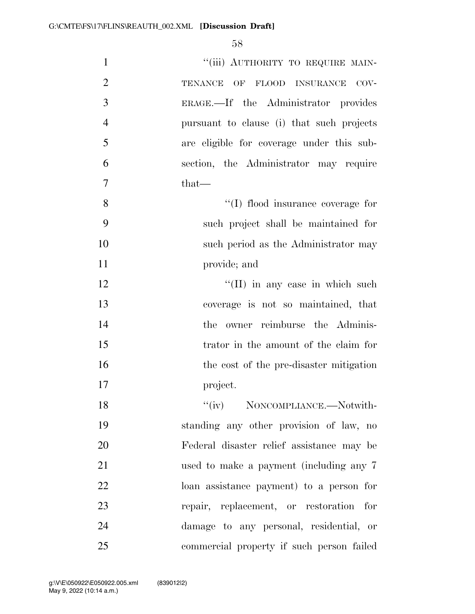| $\mathbf{1}$   | "(iii) AUTHORITY TO REQUIRE MAIN-         |
|----------------|-------------------------------------------|
| $\overline{2}$ | TENANCE OF<br>FLOOD INSURANCE<br>$COV-$   |
| 3              | ERAGE.—If the Administrator provides      |
| $\overline{4}$ | pursuant to clause (i) that such projects |
| 5              | are eligible for coverage under this sub- |
| 6              | section, the Administrator may require    |
| $\tau$         | $that-$                                   |
| 8              | $\lq\lq$ flood insurance coverage for     |
| 9              | such project shall be maintained for      |
| 10             | such period as the Administrator may      |
| 11             | provide; and                              |
| 12             | $\lq\lq$ (II) in any case in which such   |
| 13             | coverage is not so maintained, that       |
| 14             | the owner reimburse the Adminis-          |
| 15             | trator in the amount of the claim for     |
| 16             | the cost of the pre-disaster mitigation   |
| 17             | project.                                  |
| 18             | "(iv) NONCOMPLIANCE.—Notwith-             |
| 19             | standing any other provision of law, no   |
| 20             | Federal disaster relief assistance may be |
| 21             | used to make a payment (including any 7   |
| 22             | loan assistance payment) to a person for  |
| 23             | repair, replacement, or restoration for   |
| 24             | damage to any personal, residential, or   |
| 25             | commercial property if such person failed |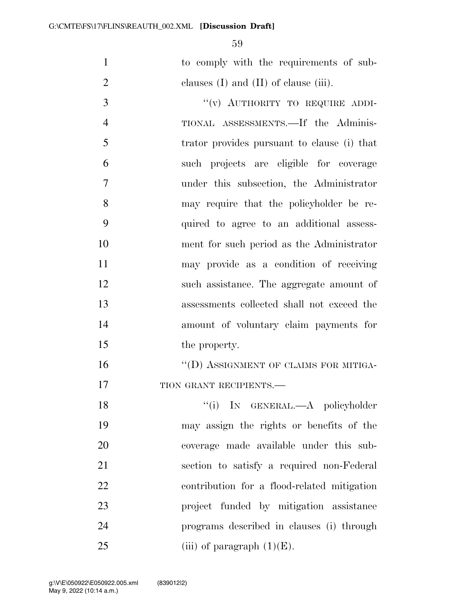to comply with the requirements of sub-2 clauses (I) and (II) of clause (iii).

3 "(v) AUTHORITY TO REQUIRE ADDI- TIONAL ASSESSMENTS.—If the Adminis- trator provides pursuant to clause (i) that such projects are eligible for coverage under this subsection, the Administrator may require that the policyholder be re- quired to agree to an additional assess- ment for such period as the Administrator may provide as a condition of receiving such assistance. The aggregate amount of assessments collected shall not exceed the amount of voluntary claim payments for 15 the property.

16 "(D) ASSIGNMENT OF CLAIMS FOR MITIGA-17 TION GRANT RECIPIENTS.

18 ''(i) IN GENERAL.—A policyholder may assign the rights or benefits of the coverage made available under this sub- section to satisfy a required non-Federal contribution for a flood-related mitigation project funded by mitigation assistance programs described in clauses (i) through 25 (iii) of paragraph  $(1)(E)$ .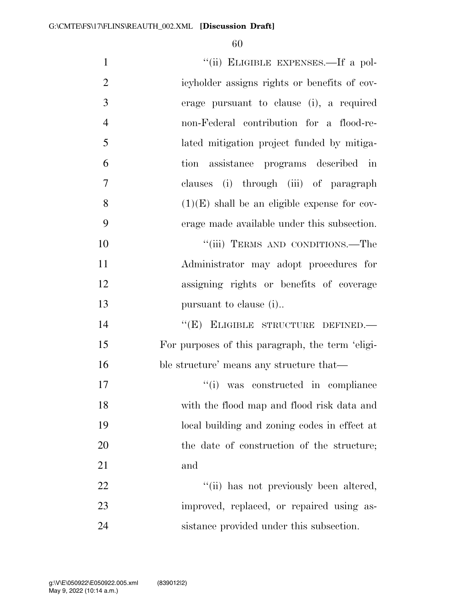| $\mathbf{1}$   | "(ii) ELIGIBLE EXPENSES.—If a pol-               |
|----------------|--------------------------------------------------|
| $\overline{2}$ | icyholder assigns rights or benefits of cov-     |
| 3              | erage pursuant to clause (i), a required         |
| $\overline{4}$ | non-Federal contribution for a flood-re-         |
| 5              | lated mitigation project funded by mitiga-       |
| 6              | tion assistance programs described in            |
| 7              | clauses (i) through (iii) of paragraph           |
| 8              | $(1)(E)$ shall be an eligible expense for cov-   |
| 9              | erage made available under this subsection.      |
| 10             | "(iii) TERMS AND CONDITIONS.—The                 |
| 11             | Administrator may adopt procedures for           |
| 12             | assigning rights or benefits of coverage         |
| 13             | pursuant to clause (i)                           |
| 14             | "(E) ELIGIBLE STRUCTURE DEFINED.-                |
| 15             | For purposes of this paragraph, the term 'eligi- |
| 16             | ble structure' means any structure that—         |
| 17             | "(i) was constructed in compliance               |
| 18             | with the flood map and flood risk data and       |
| 19             | local building and zoning codes in effect at     |
| 20             | the date of construction of the structure;       |
| 21             | and                                              |
| 22             | "(ii) has not previously been altered,           |
| 23             | improved, replaced, or repaired using as-        |
| 24             | sistance provided under this subsection.         |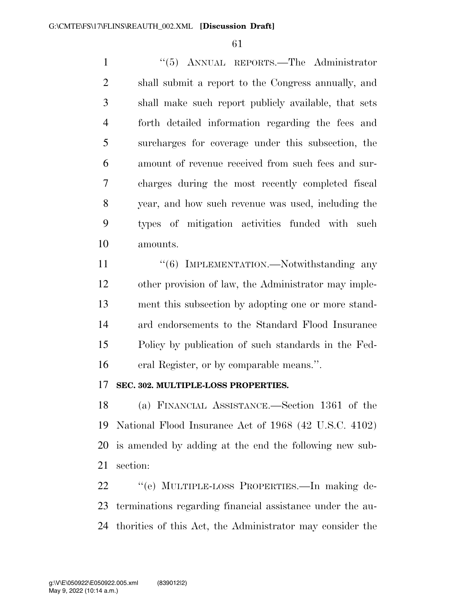''(5) ANNUAL REPORTS.—The Administrator shall submit a report to the Congress annually, and shall make such report publicly available, that sets forth detailed information regarding the fees and surcharges for coverage under this subsection, the amount of revenue received from such fees and sur- charges during the most recently completed fiscal year, and how such revenue was used, including the types of mitigation activities funded with such amounts.

11 "(6) IMPLEMENTATION.—Notwithstanding any other provision of law, the Administrator may imple- ment this subsection by adopting one or more stand- ard endorsements to the Standard Flood Insurance Policy by publication of such standards in the Fed-eral Register, or by comparable means.''.

### **SEC. 302. MULTIPLE-LOSS PROPERTIES.**

 (a) FINANCIAL ASSISTANCE.—Section 1361 of the National Flood Insurance Act of 1968 (42 U.S.C. 4102) is amended by adding at the end the following new sub-section:

 ''(e) MULTIPLE-LOSS PROPERTIES.—In making de- terminations regarding financial assistance under the au-thorities of this Act, the Administrator may consider the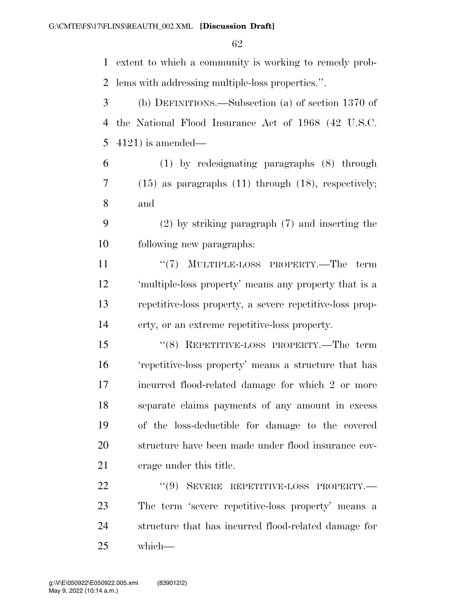extent to which a community is working to remedy prob- lems with addressing multiple-loss properties.''. (b) DEFINITIONS.—Subsection (a) of section 1370 of the National Flood Insurance Act of 1968 (42 U.S.C. 4121) is amended— (1) by redesignating paragraphs (8) through (15) as paragraphs (11) through (18), respectively; and (2) by striking paragraph (7) and inserting the following new paragraphs: 11 ''(7) MULTIPLE-LOSS PROPERTY.—The term 'multiple-loss property' means any property that is a repetitive-loss property, a severe repetitive-loss prop- erty, or an extreme repetitive-loss property. ''(8) REPETITIVE-LOSS PROPERTY.—The term 'repetitive-loss property' means a structure that has incurred flood-related damage for which 2 or more separate claims payments of any amount in excess of the loss-deductible for damage to the covered structure have been made under flood insurance cov- erage under this title. 22 "(9) SEVERE REPETITIVE-LOSS PROPERTY.— The term 'severe repetitive-loss property' means a structure that has incurred flood-related damage for

which—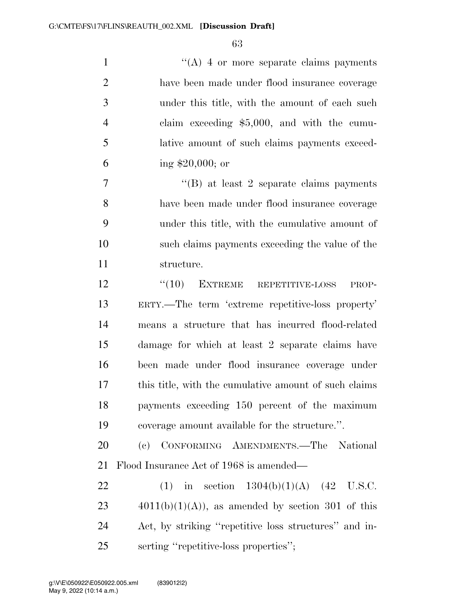1 ''(A) 4 or more separate claims payments have been made under flood insurance coverage under this title, with the amount of each such claim exceeding \$5,000, and with the cumu- lative amount of such claims payments exceed-ing \$20,000; or

 ''(B) at least 2 separate claims payments have been made under flood insurance coverage under this title, with the cumulative amount of such claims payments exceeding the value of the structure.

12 "(10) EXTREME REPETITIVE-LOSS PROP- ERTY.—The term 'extreme repetitive-loss property' means a structure that has incurred flood-related damage for which at least 2 separate claims have been made under flood insurance coverage under this title, with the cumulative amount of such claims payments exceeding 150 percent of the maximum coverage amount available for the structure.''.

 (c) CONFORMING AMENDMENTS.—The National Flood Insurance Act of 1968 is amended—

22 (1) in section  $1304(b)(1)(A)$  (42 U.S.C.  $4011(b)(1)(A)$ , as amended by section 301 of this Act, by striking ''repetitive loss structures'' and in-serting ''repetitive-loss properties'';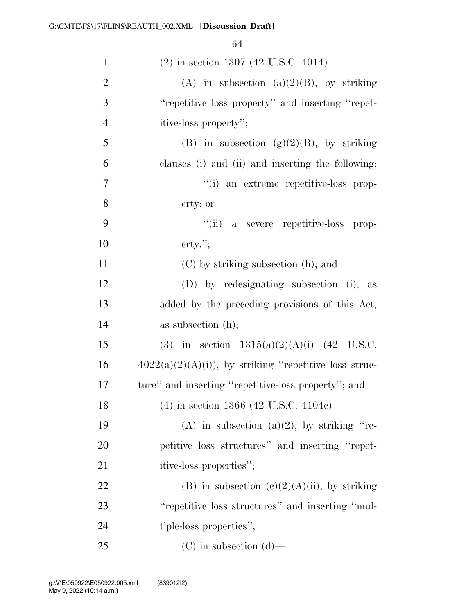| $\mathbf{1}$   | $(2)$ in section 1307 (42 U.S.C. 4014)—                  |
|----------------|----------------------------------------------------------|
| $\overline{2}$ | (A) in subsection (a) $(2)(B)$ , by striking             |
| 3              | "repetitive loss property" and inserting "repet-         |
| 4              | itive-loss property";                                    |
| 5              | (B) in subsection (g)(2)(B), by striking                 |
| 6              | clauses (i) and (ii) and inserting the following:        |
| 7              | "(i) an extreme repetitive-loss prop-                    |
| 8              | erty; or                                                 |
| 9              | "(ii) a severe repetitive-loss prop-                     |
| 10             | $\text{erty."};$                                         |
| 11             | $(C)$ by striking subsection $(h)$ ; and                 |
| 12             | (D) by redesignating subsection (i), as                  |
| 13             | added by the preceding provisions of this Act,           |
| 14             | as subsection $(h)$ ;                                    |
| 15             | (3) in section $1315(a)(2)(A)(i)$ (42 U.S.C.             |
| 16             | $4022(a)(2)(A)(i)$ , by striking "repetitive loss struc- |
| 17             | ture" and inserting "repetitive-loss property"; and      |
| 18             | $(4)$ in section 1366 (42 U.S.C. 4104c)—                 |
| 19             | (A) in subsection (a)(2), by striking "re-               |
| 20             | petitive loss structures" and inserting "repet-          |
| 21             | itive-loss properties";                                  |
| 22             | (B) in subsection (c)(2)(A)(ii), by striking             |
| 23             | "repetitive loss structures" and inserting "mul-         |
| 24             | tiple-loss properties";                                  |
| 25             | $(C)$ in subsection $(d)$ —                              |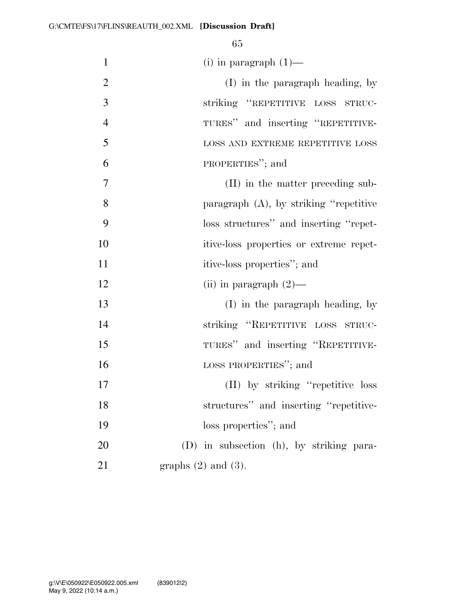| $\mathbf{1}$   | (i) in paragraph $(1)$ —                 |
|----------------|------------------------------------------|
| $\overline{2}$ | $(I)$ in the paragraph heading, by       |
| 3              | striking "REPETITIVE LOSS STRUC-         |
| $\overline{4}$ | TURES" and inserting "REPETITIVE-        |
| 5              | LOSS AND EXTREME REPETITIVE LOSS         |
| 6              | PROPERTIES"; and                         |
| 7              | (II) in the matter preceding sub-        |
| 8              | paragraph (A), by striking "repetitive   |
| 9              | loss structures" and inserting "repet-   |
| 10             | itive-loss properties or extreme repet-  |
| 11             | itive-loss properties"; and              |
| 12             | (ii) in paragraph $(2)$ —                |
| 13             | (I) in the paragraph heading, by         |
| 14             | striking "REPETITIVE LOSS STRUC-         |
| 15             | TURES" and inserting "REPETITIVE-        |
| 16             | LOSS PROPERTIES"; and                    |
| 17             | (II) by striking "repetitive loss        |
| 18             | structures" and inserting "repetitive-   |
| 19             | loss properties"; and                    |
| 20             | (D) in subsection (h), by striking para- |
| 21             | graphs $(2)$ and $(3)$ .                 |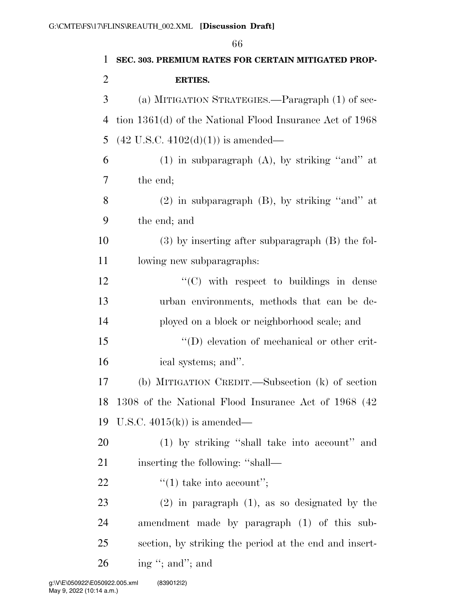|              | 66                                                       |
|--------------|----------------------------------------------------------|
| $\mathbf{1}$ | SEC. 303. PREMIUM RATES FOR CERTAIN MITIGATED PROP-      |
| 2            | <b>ERTIES.</b>                                           |
| 3            | (a) MITIGATION STRATEGIES.—Paragraph (1) of sec-         |
| 4            | tion 1361(d) of the National Flood Insurance Act of 1968 |
| 5            | $(42 \text{ U.S.C. } 4102(d)(1))$ is amended—            |
| 6            | $(1)$ in subparagraph $(A)$ , by striking "and" at       |
| 7            | the end;                                                 |
| 8            | $(2)$ in subparagraph $(B)$ , by striking "and" at       |
| 9            | the end; and                                             |
| 10           | $(3)$ by inserting after subparagraph $(B)$ the fol-     |
| 11           | lowing new subparagraphs:                                |
| 12           | "(C) with respect to buildings in dense                  |
| 13           | urban environments, methods that can be de-              |
| 14           | ployed on a block or neighborhood scale; and             |
| 15           | $\lq\lq$ elevation of mechanical or other crit-          |
| 16           | ical systems; and".                                      |
| 17           | (b) MITIGATION CREDIT.—Subsection (k) of section         |
| 18           | 1308 of the National Flood Insurance Act of 1968 (42)    |
| 19           | U.S.C. $4015(k)$ is amended—                             |
| 20           | (1) by striking "shall take into account" and            |
| 21           | inserting the following: "shall—                         |
| 22           | $\lq(1)$ take into account";                             |
| 23           | $(2)$ in paragraph $(1)$ , as so designated by the       |
| 24           | amendment made by paragraph (1) of this sub-             |
| 25           | section, by striking the period at the end and insert-   |
| 26           | ing "; and"; and                                         |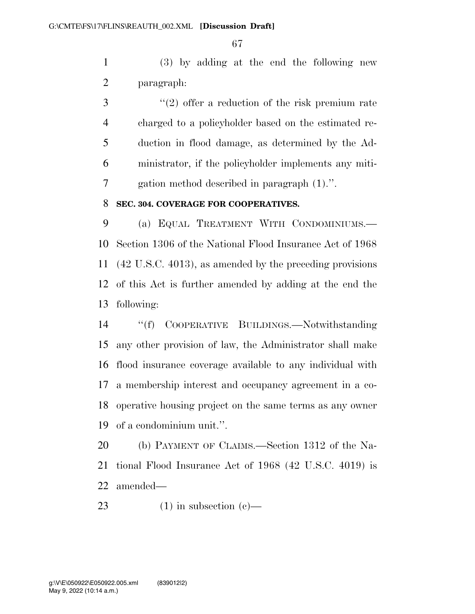(3) by adding at the end the following new paragraph:

3 ''(2) offer a reduction of the risk premium rate charged to a policyholder based on the estimated re- duction in flood damage, as determined by the Ad- ministrator, if the policyholder implements any miti-gation method described in paragraph (1).''.

#### **SEC. 304. COVERAGE FOR COOPERATIVES.**

 (a) EQUAL TREATMENT WITH CONDOMINIUMS.— Section 1306 of the National Flood Insurance Act of 1968 (42 U.S.C. 4013), as amended by the preceding provisions of this Act is further amended by adding at the end the following:

 ''(f) COOPERATIVE BUILDINGS.—Notwithstanding any other provision of law, the Administrator shall make flood insurance coverage available to any individual with a membership interest and occupancy agreement in a co- operative housing project on the same terms as any owner of a condominium unit.''.

 (b) PAYMENT OF CLAIMS.—Section 1312 of the Na- tional Flood Insurance Act of 1968 (42 U.S.C. 4019) is amended—

23 (1) in subsection  $(e)$ —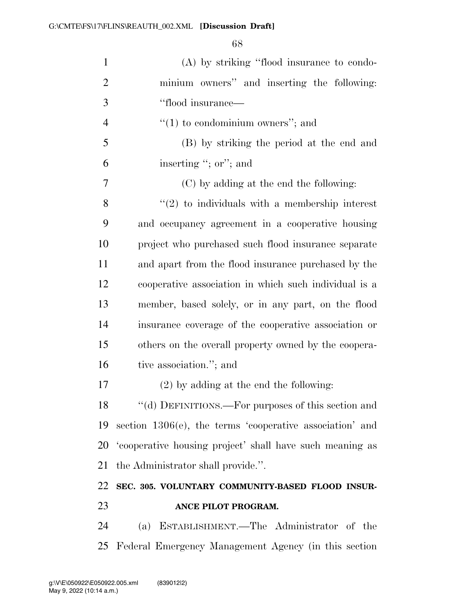| $\mathbf{1}$   | (A) by striking "flood insurance to condo-                  |
|----------------|-------------------------------------------------------------|
| $\overline{2}$ | minium owners" and inserting the following:                 |
| 3              | "flood insurance—                                           |
| $\overline{4}$ | $"(1)$ to condominium owners"; and                          |
| 5              | (B) by striking the period at the end and                   |
| 6              | inserting "; or"; and                                       |
| 7              | (C) by adding at the end the following:                     |
| 8              | $\lq(2)$ to individuals with a membership interest          |
| 9              | and occupancy agreement in a cooperative housing            |
| 10             | project who purchased such flood insurance separate         |
| 11             | and apart from the flood insurance purchased by the         |
| 12             | cooperative association in which such individual is a       |
| 13             | member, based solely, or in any part, on the flood          |
| 14             | insurance coverage of the cooperative association or        |
| 15             | others on the overall property owned by the coopera-        |
| 16             | tive association."; and                                     |
| 17             | $(2)$ by adding at the end the following:                   |
|                | 18 "(d) DEFINITIONS.—For purposes of this section and       |
| 19             | section $1306(e)$ , the terms 'cooperative association' and |
| 20             | 'cooperative housing project' shall have such meaning as    |
| 21             |                                                             |
|                | the Administrator shall provide.".                          |
| 22             | SEC. 305. VOLUNTARY COMMUNITY-BASED FLOOD INSUR-            |
| 23             | ANCE PILOT PROGRAM.                                         |
| 24             | (a) ESTABLISHMENT.—The Administrator of the                 |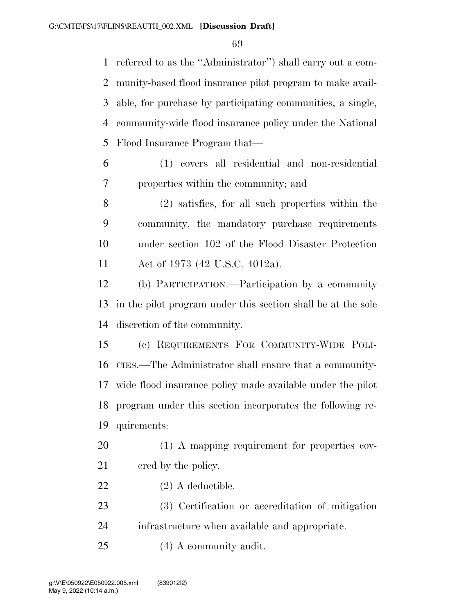referred to as the ''Administrator'') shall carry out a com- munity-based flood insurance pilot program to make avail- able, for purchase by participating communities, a single, community-wide flood insurance policy under the National Flood Insurance Program that—

 (1) covers all residential and non-residential properties within the community; and

 (2) satisfies, for all such properties within the community, the mandatory purchase requirements under section 102 of the Flood Disaster Protection Act of 1973 (42 U.S.C. 4012a).

 (b) PARTICIPATION.—Participation by a community in the pilot program under this section shall be at the sole discretion of the community.

 (c) REQUIREMENTS FOR COMMUNITY-WIDE POLI- CIES.—The Administrator shall ensure that a community- wide flood insurance policy made available under the pilot program under this section incorporates the following re-quirements:

 (1) A mapping requirement for properties cov-21 ered by the policy.

(2) A deductible.

 (3) Certification or accreditation of mitigation infrastructure when available and appropriate.

(4) A community audit.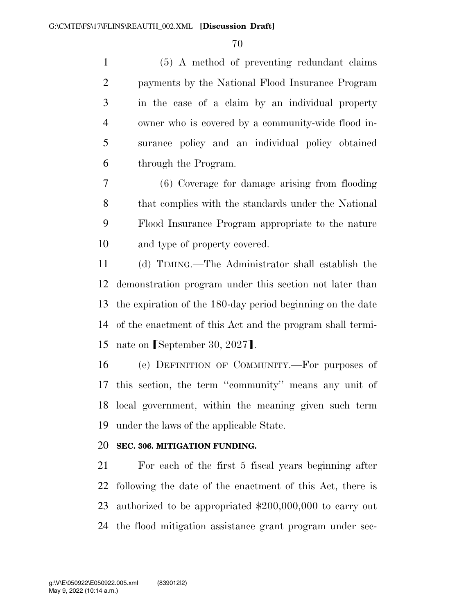(5) A method of preventing redundant claims payments by the National Flood Insurance Program in the case of a claim by an individual property owner who is covered by a community-wide flood in- surance policy and an individual policy obtained through the Program.

 (6) Coverage for damage arising from flooding that complies with the standards under the National Flood Insurance Program appropriate to the nature and type of property covered.

 (d) TIMING.—The Administrator shall establish the demonstration program under this section not later than the expiration of the 180-day period beginning on the date of the enactment of this Act and the program shall termi-15 nate on  $[September\;30,2027]$ .

 (e) DEFINITION OF COMMUNITY.—For purposes of this section, the term ''community'' means any unit of local government, within the meaning given such term under the laws of the applicable State.

# **SEC. 306. MITIGATION FUNDING.**

 For each of the first 5 fiscal years beginning after following the date of the enactment of this Act, there is authorized to be appropriated \$200,000,000 to carry out the flood mitigation assistance grant program under sec-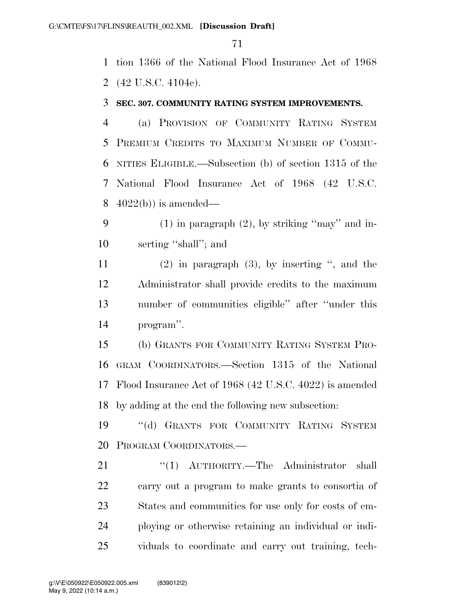tion 1366 of the National Flood Insurance Act of 1968 (42 U.S.C. 4104c).

#### **SEC. 307. COMMUNITY RATING SYSTEM IMPROVEMENTS.**

 (a) PROVISION OF COMMUNITY RATING SYSTEM PREMIUM CREDITS TO MAXIMUM NUMBER OF COMMU- NITIES ELIGIBLE.—Subsection (b) of section 1315 of the National Flood Insurance Act of 1968 (42 U.S.C. 4022(b)) is amended—

 (1) in paragraph (2), by striking ''may'' and in-serting ''shall''; and

 (2) in paragraph (3), by inserting '', and the Administrator shall provide credits to the maximum number of communities eligible'' after ''under this program''.

 (b) GRANTS FOR COMMUNITY RATING SYSTEM PRO- GRAM COORDINATORS.—Section 1315 of the National Flood Insurance Act of 1968 (42 U.S.C. 4022) is amended by adding at the end the following new subsection:

 ''(d) GRANTS FOR COMMUNITY RATING SYSTEM PROGRAM COORDINATORS.—

21 "(1) AUTHORITY.—The Administrator shall carry out a program to make grants to consortia of States and communities for use only for costs of em- ploying or otherwise retaining an individual or indi-viduals to coordinate and carry out training, tech-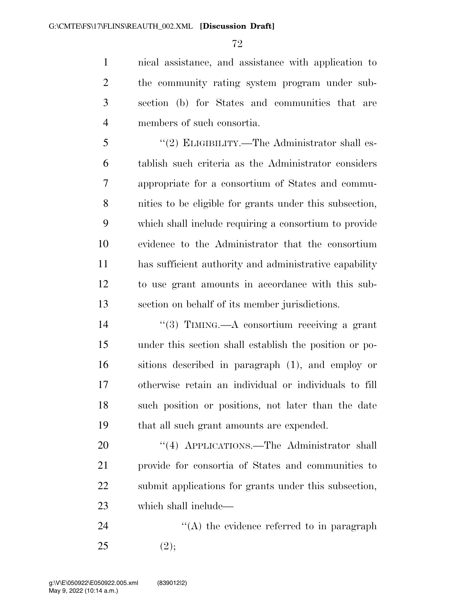nical assistance, and assistance with application to the community rating system program under sub- section (b) for States and communities that are members of such consortia.

 ''(2) ELIGIBILITY.—The Administrator shall es- tablish such criteria as the Administrator considers appropriate for a consortium of States and commu- nities to be eligible for grants under this subsection, which shall include requiring a consortium to provide evidence to the Administrator that the consortium has sufficient authority and administrative capability to use grant amounts in accordance with this sub-section on behalf of its member jurisdictions.

 ''(3) TIMING.—A consortium receiving a grant under this section shall establish the position or po- sitions described in paragraph (1), and employ or otherwise retain an individual or individuals to fill such position or positions, not later than the date that all such grant amounts are expended.

20 "(4) APPLICATIONS.—The Administrator shall provide for consortia of States and communities to submit applications for grants under this subsection, which shall include—

24  $\langle (A)$  the evidence referred to in paragraph 25 (2);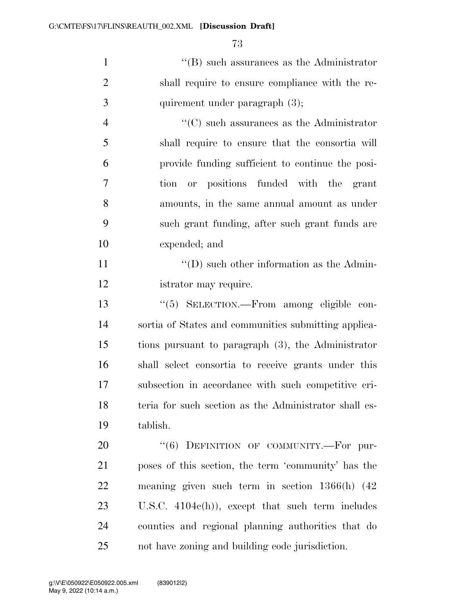1 ''(B) such assurances as the Administrator shall require to ensure compliance with the re-3 quirement under paragraph (3);

 ''(C) such assurances as the Administrator shall require to ensure that the consortia will provide funding sufficient to continue the posi- tion or positions funded with the grant amounts, in the same annual amount as under such grant funding, after such grant funds are expended; and

11 ''(D) such other information as the Admin-istrator may require.

 ''(5) SELECTION.—From among eligible con- sortia of States and communities submitting applica- tions pursuant to paragraph (3), the Administrator shall select consortia to receive grants under this subsection in accordance with such competitive cri-18 teria for such section as the Administrator shall es-tablish.

20 "(6) DEFINITION OF COMMUNITY.—For pur- poses of this section, the term 'community' has the meaning given such term in section 1366(h) (42 U.S.C. 4104c(h)), except that such term includes counties and regional planning authorities that do not have zoning and building code jurisdiction.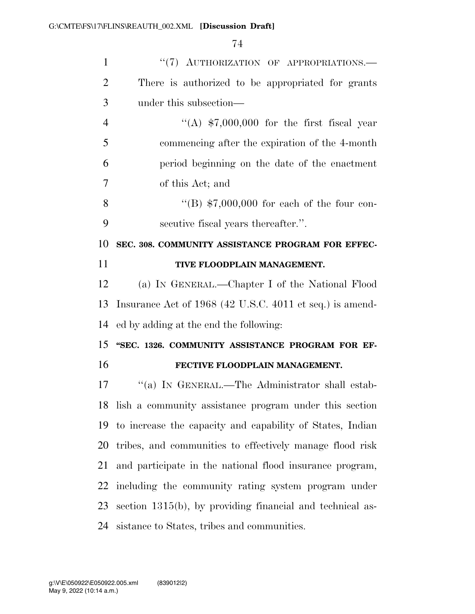| $\mathbf{1}$   | "(7) AUTHORIZATION OF APPROPRIATIONS.-                       |
|----------------|--------------------------------------------------------------|
| $\overline{2}$ | There is authorized to be appropriated for grants            |
| 3              | under this subsection—                                       |
| $\overline{4}$ | "(A) $$7,000,000$ for the first fiscal year                  |
| 5              | commencing after the expiration of the 4-month               |
| 6              | period beginning on the date of the enactment                |
| 7              | of this Act; and                                             |
| 8              | "(B) $$7,000,000$ for each of the four con-                  |
| 9              | secutive fiscal years thereafter.".                          |
| 10             | SEC. 308. COMMUNITY ASSISTANCE PROGRAM FOR EFFEC-            |
| 11             | TIVE FLOODPLAIN MANAGEMENT.                                  |
| 12             | (a) IN GENERAL.—Chapter I of the National Flood              |
|                |                                                              |
| 13             | Insurance Act of 1968 (42 U.S.C. 4011 et seq.) is amend-     |
| 14             | ed by adding at the end the following:                       |
|                | "SEC. 1326. COMMUNITY ASSISTANCE PROGRAM FOR EF-             |
| 15<br>16       | FECTIVE FLOODPLAIN MANAGEMENT.                               |
| 17             | "(a) IN GENERAL.—The Administrator shall estab-              |
|                | 18 lish a community assistance program under this section    |
|                | 19 to increase the capacity and capability of States, Indian |
| 20             | tribes, and communities to effectively manage flood risk     |
| 21             | and participate in the national flood insurance program,     |
| 22             | including the community rating system program under          |
| 23             | section $1315(b)$ , by providing financial and technical as- |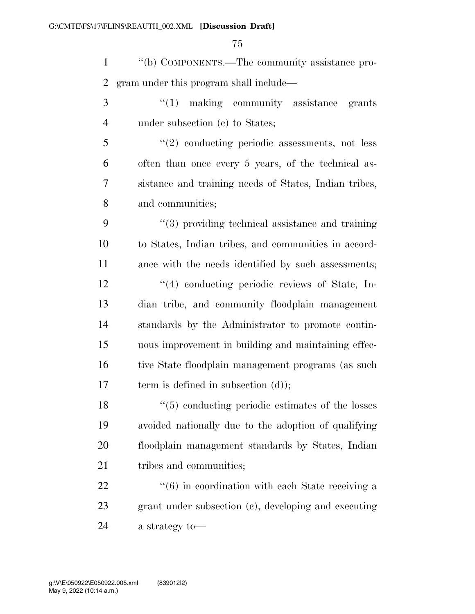''(b) COMPONENTS.—The community assistance pro-gram under this program shall include—

- 3 "(1) making community assistance grants under subsection (c) to States;
- ''(2) conducting periodic assessments, not less often than once every 5 years, of the technical as- sistance and training needs of States, Indian tribes, and communities;

 ''(3) providing technical assistance and training to States, Indian tribes, and communities in accord- ance with the needs identified by such assessments; 12 ''(4) conducting periodic reviews of State, In- dian tribe, and community floodplain management standards by the Administrator to promote contin- uous improvement in building and maintaining effec-16 tive State floodplain management programs (as such 17 term is defined in subsection (d));

 ''(5) conducting periodic estimates of the losses avoided nationally due to the adoption of qualifying floodplain management standards by States, Indian 21 tribes and communities;

22 ''(6) in coordination with each State receiving a grant under subsection (c), developing and executing a strategy to—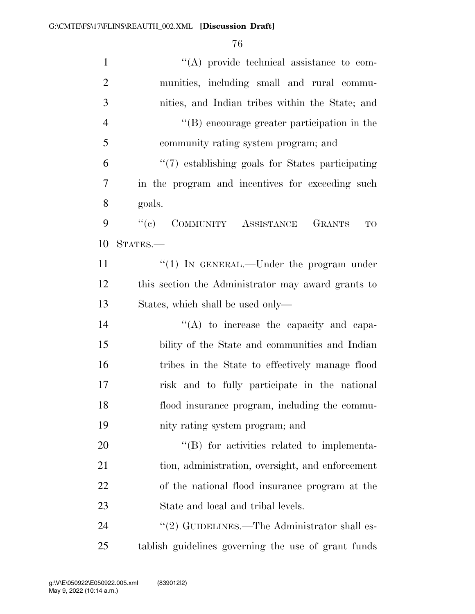| $\mathbf{1}$   | $\lq\lq$ provide technical assistance to com-        |
|----------------|------------------------------------------------------|
| $\overline{2}$ | munities, including small and rural commu-           |
| 3              | nities, and Indian tribes within the State; and      |
| $\overline{4}$ | $\lq\lq$ encourage greater participation in the      |
| 5              | community rating system program; and                 |
| 6              | "(7) establishing goals for States participating     |
| $\overline{7}$ | in the program and incentives for exceeding such     |
| 8              | goals.                                               |
| 9              | ``(e)<br>COMMUNITY ASSISTANCE<br><b>GRANTS</b><br>TO |
| 10             | STATES.-                                             |
| 11             | "(1) IN GENERAL.—Under the program under             |
| 12             | this section the Administrator may award grants to   |
| 13             | States, which shall be used only—                    |
| 14             | $\lq\lq$ to increase the capacity and capa-          |
| 15             | bility of the State and communities and Indian       |
| 16             | tribes in the State to effectively manage flood      |
| 17             | risk and to fully participate in the national        |
| 18             | flood insurance program, including the commu-        |
| 19             | nity rating system program; and                      |
| 20             | "(B) for activities related to implementa-           |
| 21             | tion, administration, oversight, and enforcement     |
| 22             | of the national flood insurance program at the       |
| 23             | State and local and tribal levels.                   |
| 24             | "(2) GUIDELINES.—The Administrator shall es-         |
| 25             | tablish guidelines governing the use of grant funds  |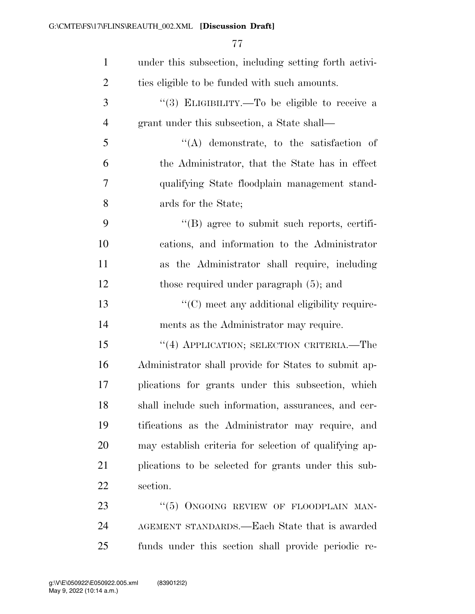| $\mathbf{1}$   | under this subsection, including setting forth activi- |
|----------------|--------------------------------------------------------|
| $\overline{2}$ | ties eligible to be funded with such amounts.          |
| 3              | "(3) ELIGIBILITY.—To be eligible to receive a          |
| $\overline{4}$ | grant under this subsection, a State shall—            |
| 5              | $\lq\lq$ demonstrate, to the satisfaction of           |
| 6              | the Administrator, that the State has in effect        |
| 7              | qualifying State floodplain management stand-          |
| 8              | ards for the State;                                    |
| 9              | $\lq\lq(B)$ agree to submit such reports, certifi-     |
| 10             | cations, and information to the Administrator          |
| 11             | as the Administrator shall require, including          |
| 12             | those required under paragraph $(5)$ ; and             |
| 13             | "(C) meet any additional eligibility require-          |
| 14             | ments as the Administrator may require.                |
| 15             | "(4) APPLICATION; SELECTION CRITERIA.—The              |
| 16             | Administrator shall provide for States to submit ap-   |
| 17             | plications for grants under this subsection, which     |
| 18             | shall include such information, assurances, and cer-   |
| 19             | tifications as the Administrator may require, and      |
| 20             | may establish criteria for selection of qualifying ap- |
| 21             | plications to be selected for grants under this sub-   |
| 22             | section.                                               |
| 23             | " $(5)$ ONGOING REVIEW OF FLOODPLAIN MAN-              |
| 24             | AGEMENT STANDARDS.—Each State that is awarded          |
|                |                                                        |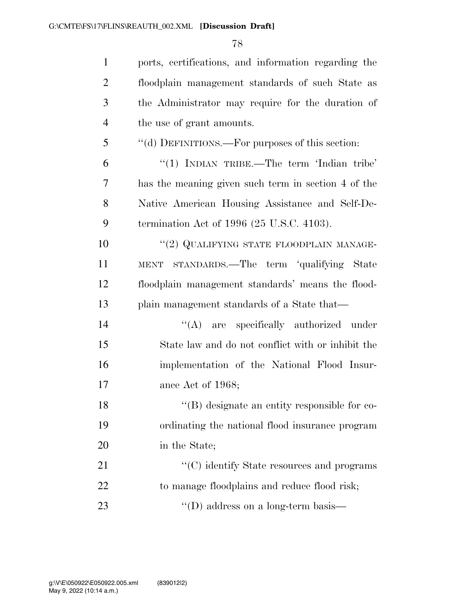ports, certifications, and information regarding the floodplain management standards of such State as the Administrator may require for the duration of the use of grant amounts. ''(d) DEFINITIONS.—For purposes of this section: ''(1) INDIAN TRIBE.—The term 'Indian tribe' has the meaning given such term in section 4 of the Native American Housing Assistance and Self-De- termination Act of 1996 (25 U.S.C. 4103).  $(2)$  QUALIFYING STATE FLOODPLAIN MANAGE- MENT STANDARDS.—The term 'qualifying State floodplain management standards' means the flood- plain management standards of a State that—  $\langle (A)$  are specifically authorized under State law and do not conflict with or inhibit the implementation of the National Flood Insur- ance Act of 1968; 18 ''(B) designate an entity responsible for co- ordinating the national flood insurance program in the State; 21 ''(C) identify State resources and programs 22 to manage floodplains and reduce flood risk; 23 ''(D) address on a long-term basis—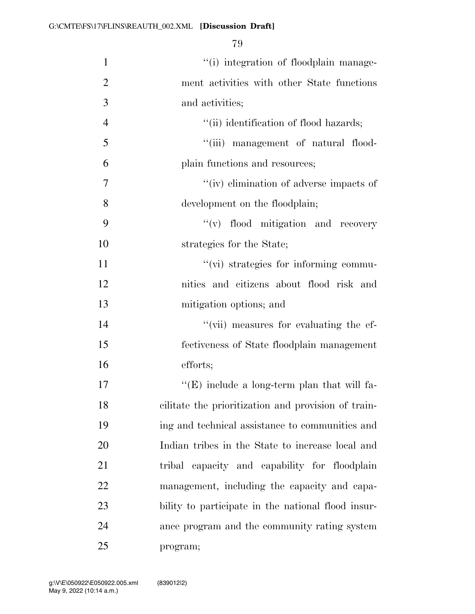| $\mathbf{1}$   | "(i) integration of floodplain manage-              |
|----------------|-----------------------------------------------------|
| $\overline{2}$ | ment activities with other State functions          |
| 3              | and activities;                                     |
| $\overline{4}$ | "(ii) identification of flood hazards;              |
| 5              | "(iii) management of natural flood-                 |
| 6              | plain functions and resources;                      |
| $\tau$         | "(iv) elimination of adverse impacts of             |
| 8              | development on the floodplain;                      |
| 9              | $\lq\lq$ flood mitigation and recovery              |
| 10             | strategies for the State;                           |
| 11             | "(vi) strategies for informing commu-               |
| 12             | nities and citizens about flood risk and            |
| 13             | mitigation options; and                             |
| 14             | "(vii) measures for evaluating the ef-              |
| 15             | fectiveness of State floodplain management          |
| 16             | efforts;                                            |
| 17             | "(E) include a long-term plan that will fa-         |
| 18             | cilitate the prioritization and provision of train- |
| 19             | ing and technical assistance to communities and     |
| 20             | Indian tribes in the State to increase local and    |
| 21             | capacity and capability for floodplain<br>tribal    |
| 22             | management, including the capacity and capa-        |
| 23             | bility to participate in the national flood insur-  |
| 24             | ance program and the community rating system        |
| 25             | program;                                            |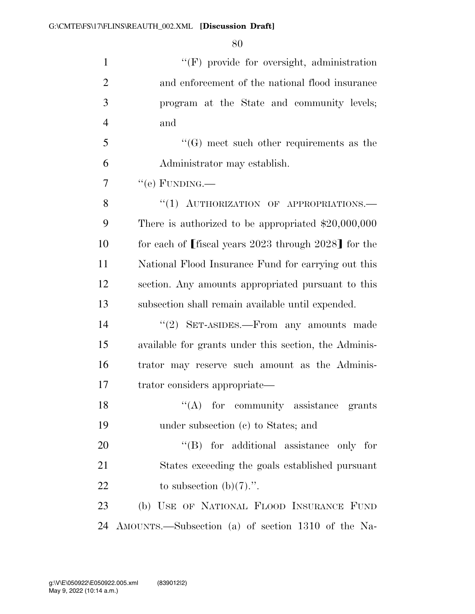1 ''(F) provide for oversight, administration and enforcement of the national flood insurance program at the State and community levels; and ''(G) meet such other requirements as the Administrator may establish.

 $7 \qquad \text{``(e) FUNDING.}$ 

8 "(1) AUTHORIZATION OF APPROPRIATIONS. There is authorized to be appropriated \$20,000,000 10 for each of fiscal years 2023 through 2028] for the National Flood Insurance Fund for carrying out this section. Any amounts appropriated pursuant to this subsection shall remain available until expended.

 ''(2) SET-ASIDES.—From any amounts made available for grants under this section, the Adminis- trator may reserve such amount as the Adminis-trator considers appropriate—

18  $"$ (A) for community assistance grants under subsection (c) to States; and

20  $\text{``(B)}$  for additional assistance only for States exceeding the goals established pursuant 22 to subsection  $(b)(7)$ .".

 (b) USE OF NATIONAL FLOOD INSURANCE FUND AMOUNTS.—Subsection (a) of section 1310 of the Na-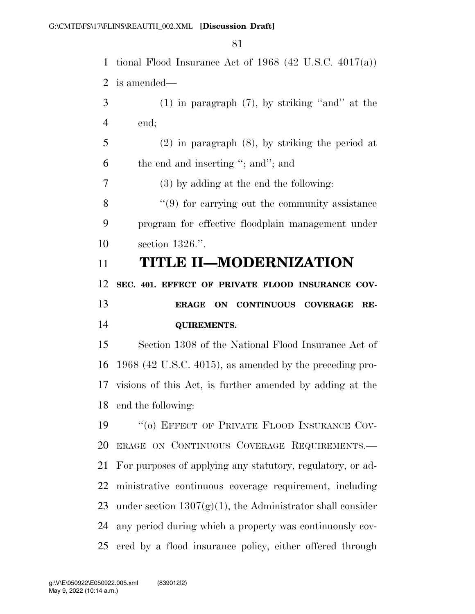tional Flood Insurance Act of 1968 (42 U.S.C. 4017(a)) is amended— (1) in paragraph (7), by striking "and" at the end; (2) in paragraph (8), by striking the period at the end and inserting ''; and''; and (3) by adding at the end the following: 8 ''(9) for carrying out the community assistance program for effective floodplain management under section 1326.''. **TITLE II—MODERNIZATION SEC. 401. EFFECT OF PRIVATE FLOOD INSURANCE COV- ERAGE ON CONTINUOUS COVERAGE RE- QUIREMENTS.**  Section 1308 of the National Flood Insurance Act of 1968 (42 U.S.C. 4015), as amended by the preceding pro- visions of this Act, is further amended by adding at the end the following: 19 "(o) EFFECT OF PRIVATE FLOOD INSURANCE COV- ERAGE ON CONTINUOUS COVERAGE REQUIREMENTS.— For purposes of applying any statutory, regulatory, or ad- ministrative continuous coverage requirement, including 23 under section  $1307(g)(1)$ , the Administrator shall consider any period during which a property was continuously cov-ered by a flood insurance policy, either offered through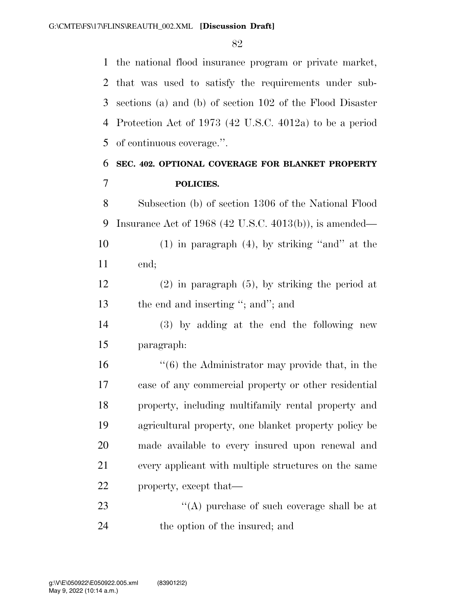the national flood insurance program or private market, that was used to satisfy the requirements under sub- sections (a) and (b) of section 102 of the Flood Disaster Protection Act of 1973 (42 U.S.C. 4012a) to be a period of continuous coverage.''.

# **SEC. 402. OPTIONAL COVERAGE FOR BLANKET PROPERTY POLICIES.**

 Subsection (b) of section 1306 of the National Flood Insurance Act of 1968 (42 U.S.C. 4013(b)), is amended—

10 (1) in paragraph (4), by striking "and" at the end;

 (2) in paragraph (5), by striking the period at 13 the end and inserting "; and"; and

 (3) by adding at the end the following new paragraph:

 ''(6) the Administrator may provide that, in the case of any commercial property or other residential property, including multifamily rental property and agricultural property, one blanket property policy be made available to every insured upon renewal and every applicant with multiple structures on the same property, except that—

23 ''(A) purchase of such coverage shall be at the option of the insured; and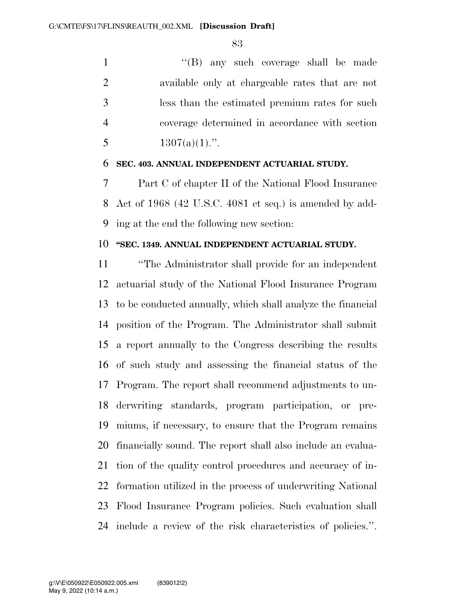1 ''(B) any such coverage shall be made available only at chargeable rates that are not less than the estimated premium rates for such coverage determined in accordance with section  $1307(a)(1)$ .".

#### **SEC. 403. ANNUAL INDEPENDENT ACTUARIAL STUDY.**

 Part C of chapter II of the National Flood Insurance Act of 1968 (42 U.S.C. 4081 et seq.) is amended by add-ing at the end the following new section:

## **''SEC. 1349. ANNUAL INDEPENDENT ACTUARIAL STUDY.**

 ''The Administrator shall provide for an independent actuarial study of the National Flood Insurance Program to be conducted annually, which shall analyze the financial position of the Program. The Administrator shall submit a report annually to the Congress describing the results of such study and assessing the financial status of the Program. The report shall recommend adjustments to un- derwriting standards, program participation, or pre- miums, if necessary, to ensure that the Program remains financially sound. The report shall also include an evalua- tion of the quality control procedures and accuracy of in- formation utilized in the process of underwriting National Flood Insurance Program policies. Such evaluation shall include a review of the risk characteristics of policies.''.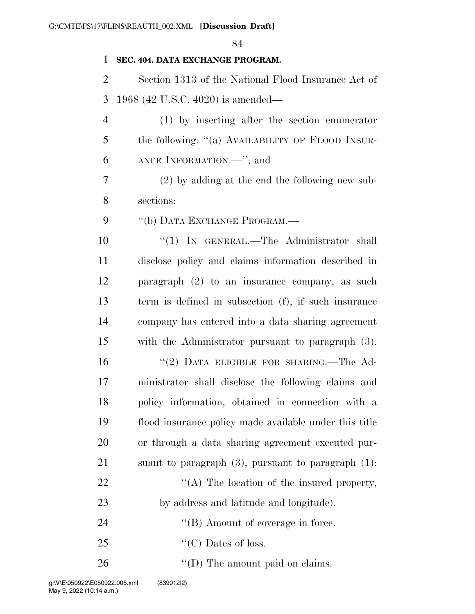#### **SEC. 404. DATA EXCHANGE PROGRAM.**

 Section 1313 of the National Flood Insurance Act of 1968 (42 U.S.C. 4020) is amended—

 (1) by inserting after the section enumerator the following: ''(a) AVAILABILITY OF FLOOD INSUR-ANCE INFORMATION.—''; and

 (2) by adding at the end the following new sub-sections:

9 "(b) DATA EXCHANGE PROGRAM.—

10 "(1) IN GENERAL.—The Administrator shall disclose policy and claims information described in paragraph (2) to an insurance company, as such term is defined in subsection (f), if such insurance company has entered into a data sharing agreement with the Administrator pursuant to paragraph (3).

 ''(2) DATA ELIGIBLE FOR SHARING.—The Ad- ministrator shall disclose the following claims and policy information, obtained in connection with a flood insurance policy made available under this title or through a data sharing agreement executed pur- suant to paragraph (3), pursuant to paragraph (1):  $\langle (A)$  The location of the insured property, by address and latitude and longitude). 24 ''(B) Amount of coverage in force.

- 25  $\text{``(C)}$  Dates of loss.
- 26  $\text{``(D) The amount paid on claims.}$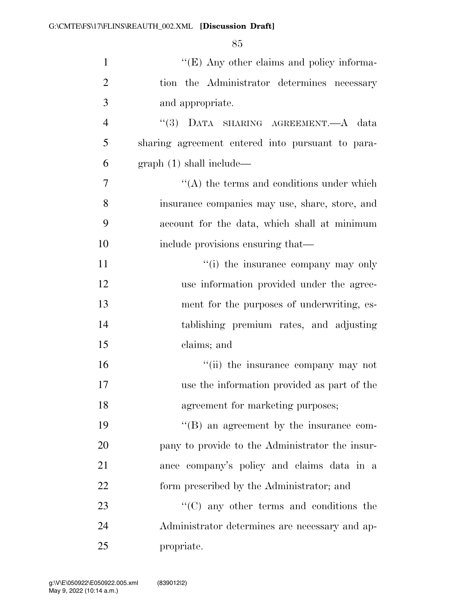| $\mathbf{1}$   | "(E) Any other claims and policy informa-        |
|----------------|--------------------------------------------------|
| $\overline{2}$ | tion the Administrator determines necessary      |
| 3              | and appropriate.                                 |
| $\overline{4}$ | "(3) DATA SHARING AGREEMENT.—A data              |
| 5              | sharing agreement entered into pursuant to para- |
| 6              | graph(1) shall include—                          |
| 7              | $\lq\lq$ the terms and conditions under which    |
| 8              | insurance companies may use, share, store, and   |
| 9              | account for the data, which shall at minimum     |
| 10             | include provisions ensuring that—                |
| 11             | "(i) the insurance company may only              |
| 12             | use information provided under the agree-        |
| 13             | ment for the purposes of underwriting, es-       |
| 14             | tablishing premium rates, and adjusting          |
| 15             | claims; and                                      |
| 16             | "(ii) the insurance company may not              |
| 17             | use the information provided as part of the      |
| 18             | agreement for marketing purposes;                |
| 19             | $\lq\lq (B)$ an agreement by the insurance com-  |
| 20             | pany to provide to the Administrator the insur-  |
| 21             | ance company's policy and claims data in a       |
| 22             | form prescribed by the Administrator; and        |
| 23             | $\lq\lq$ (C) any other terms and conditions the  |
| 24             | Administrator determines are necessary and ap-   |
| 25             | propriate.                                       |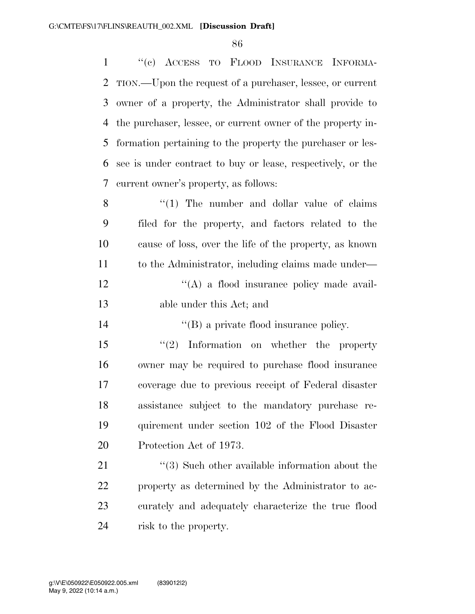''(c) ACCESS TO FLOOD INSURANCE INFORMA- TION.—Upon the request of a purchaser, lessee, or current owner of a property, the Administrator shall provide to the purchaser, lessee, or current owner of the property in- formation pertaining to the property the purchaser or les- see is under contract to buy or lease, respectively, or the current owner's property, as follows: 8 "(1) The number and dollar value of claims filed for the property, and factors related to the cause of loss, over the life of the property, as known to the Administrator, including claims made under—

12  $\langle (A)$  a flood insurance policy made avail-able under this Act; and

14  $''(B)$  a private flood insurance policy.

 ''(2) Information on whether the property owner may be required to purchase flood insurance coverage due to previous receipt of Federal disaster assistance subject to the mandatory purchase re- quirement under section 102 of the Flood Disaster Protection Act of 1973.

21 ''(3) Such other available information about the property as determined by the Administrator to ac- curately and adequately characterize the true flood risk to the property.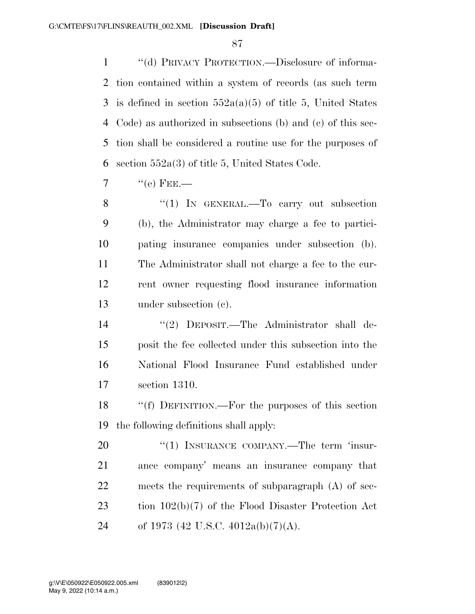''(d) PRIVACY PROTECTION.—Disclosure of informa- tion contained within a system of records (as such term 3 is defined in section  $552a(a)(5)$  of title 5, United States Code) as authorized in subsections (b) and (c) of this sec- tion shall be considered a routine use for the purposes of section 552a(3) of title 5, United States Code.

7  $"({\rm e})$  FEE.—

8 "(1) IN GENERAL.—To carry out subsection (b), the Administrator may charge a fee to partici- pating insurance companies under subsection (b). The Administrator shall not charge a fee to the cur- rent owner requesting flood insurance information under subsection (c).

 ''(2) DEPOSIT.—The Administrator shall de- posit the fee collected under this subsection into the National Flood Insurance Fund established under section 1310.

 ''(f) DEFINITION.—For the purposes of this section the following definitions shall apply:

20 "(1) INSURANCE COMPANY.—The term 'insur- ance company' means an insurance company that meets the requirements of subparagraph (A) of sec- tion 102(b)(7) of the Flood Disaster Protection Act 24 of 1973 (42 U.S.C. 4012a(b)(7)(A).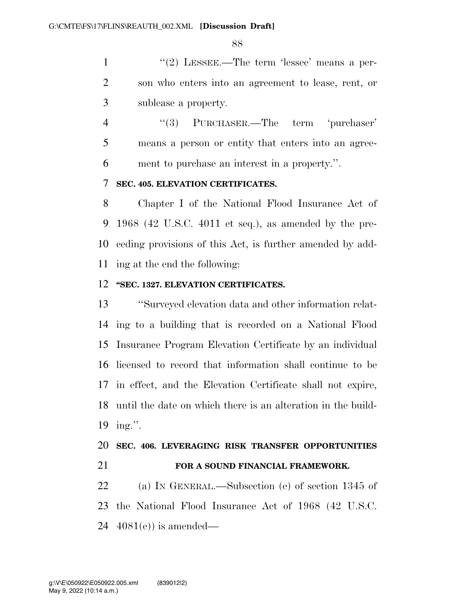1 ''(2) LESSEE.—The term 'lessee' means a per- son who enters into an agreement to lease, rent, or sublease a property.

4 ''(3) PURCHASER.—The term 'purchaser' means a person or entity that enters into an agree-ment to purchase an interest in a property.''.

#### **SEC. 405. ELEVATION CERTIFICATES.**

 Chapter I of the National Flood Insurance Act of 1968 (42 U.S.C. 4011 et seq.), as amended by the pre- ceding provisions of this Act, is further amended by add-ing at the end the following:

#### **''SEC. 1327. ELEVATION CERTIFICATES.**

 ''Surveyed elevation data and other information relat- ing to a building that is recorded on a National Flood Insurance Program Elevation Certificate by an individual licensed to record that information shall continue to be in effect, and the Elevation Certificate shall not expire, until the date on which there is an alteration in the build-ing.''.

#### **SEC. 406. LEVERAGING RISK TRANSFER OPPORTUNITIES**

**FOR A SOUND FINANCIAL FRAMEWORK.** 

 (a) IN GENERAL.—Subsection (e) of section 1345 of the National Flood Insurance Act of 1968 (42 U.S.C. 4081(e)) is amended—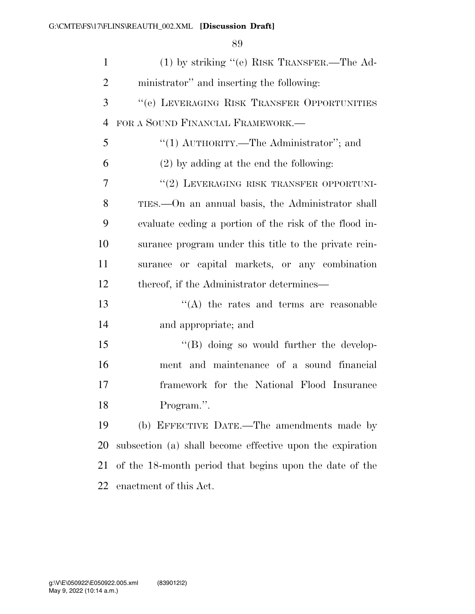| $\mathbf{1}$   | $(1)$ by striking "(e) RISK TRANSFER.—The Ad-             |
|----------------|-----------------------------------------------------------|
| $\overline{2}$ | ministrator" and inserting the following:                 |
| 3              | "(e) LEVERAGING RISK TRANSFER OPPORTUNITIES               |
| $\overline{4}$ | FOR A SOUND FINANCIAL FRAMEWORK.—                         |
| 5              | "(1) $\text{AUTHORITY}$ .—The Administrator"; and         |
| 6              | $(2)$ by adding at the end the following:                 |
| 7              | "(2) LEVERAGING RISK TRANSFER OPPORTUNI-                  |
| 8              | TIES.—On an annual basis, the Administrator shall         |
| 9              | evaluate ceding a portion of the risk of the flood in-    |
| 10             | surance program under this title to the private rein-     |
| 11             | surance or capital markets, or any combination            |
| 12             | thereof, if the Administrator determines—                 |
| 13             | $\lq\lq$ the rates and terms are reasonable               |
| 14             | and appropriate; and                                      |
| 15             | "(B) doing so would further the develop-                  |
| 16             | ment and maintenance of a sound financial                 |
| 17             | framework for the National Flood Insurance                |
| 18             | Program.".                                                |
| 19             | (b) EFFECTIVE DATE.—The amendments made by                |
| 20             | subsection (a) shall become effective upon the expiration |
| 21             | of the 18-month period that begins upon the date of the   |
| 22             | enactment of this Act.                                    |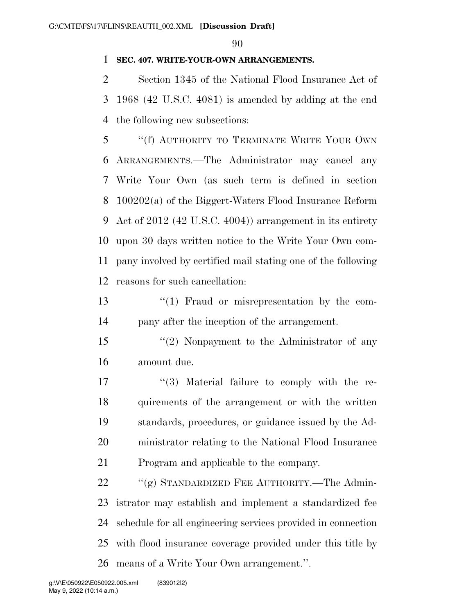### **SEC. 407. WRITE-YOUR-OWN ARRANGEMENTS.**

 Section 1345 of the National Flood Insurance Act of 1968 (42 U.S.C. 4081) is amended by adding at the end the following new subsections:

 ''(f) AUTHORITY TO TERMINATE WRITE YOUR OWN ARRANGEMENTS.—The Administrator may cancel any Write Your Own (as such term is defined in section 100202(a) of the Biggert-Waters Flood Insurance Reform Act of 2012 (42 U.S.C. 4004)) arrangement in its entirety upon 30 days written notice to the Write Your Own com- pany involved by certified mail stating one of the following reasons for such cancellation:

13 ''(1) Fraud or misrepresentation by the com-pany after the inception of the arrangement.

 ''(2) Nonpayment to the Administrator of any amount due.

17 ''(3) Material failure to comply with the re- quirements of the arrangement or with the written standards, procedures, or guidance issued by the Ad- ministrator relating to the National Flood Insurance Program and applicable to the company.

22 "(g) STANDARDIZED FEE AUTHORITY.—The Admin- istrator may establish and implement a standardized fee schedule for all engineering services provided in connection with flood insurance coverage provided under this title by means of a Write Your Own arrangement.''.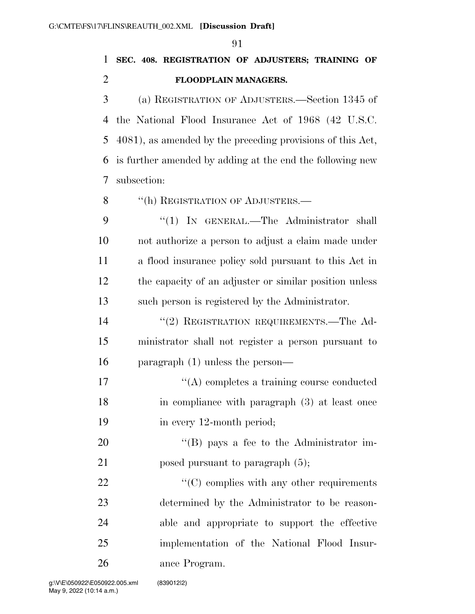**SEC. 408. REGISTRATION OF ADJUSTERS; TRAINING OF FLOODPLAIN MANAGERS.** 

 (a) REGISTRATION OF ADJUSTERS.—Section 1345 of the National Flood Insurance Act of 1968 (42 U.S.C. 4081), as amended by the preceding provisions of this Act, is further amended by adding at the end the following new subsection:

8 "(h) REGISTRATION OF ADJUSTERS.—

9 "(1) IN GENERAL.—The Administrator shall not authorize a person to adjust a claim made under a flood insurance policy sold pursuant to this Act in the capacity of an adjuster or similar position unless such person is registered by the Administrator.

14 ''(2) REGISTRATION REQUIREMENTS.—The Ad- ministrator shall not register a person pursuant to paragraph (1) unless the person—

17  $\langle (A)$  completes a training course conducted in compliance with paragraph (3) at least once 19 in every 12-month period;

20 "'(B) pays a fee to the Administrator im-21 posed pursuant to paragraph  $(5)$ ;

 $\cdot$  (C) complies with any other requirements determined by the Administrator to be reason- able and appropriate to support the effective implementation of the National Flood Insur-ance Program.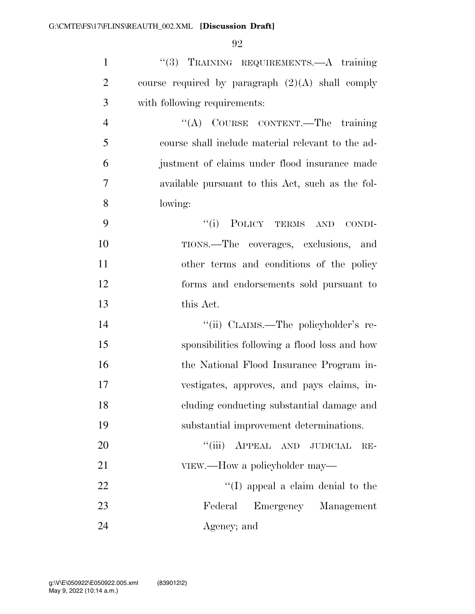| $\mathbf{1}$   | "(3) TRAINING REQUIREMENTS.—A training             |
|----------------|----------------------------------------------------|
| $\overline{2}$ | course required by paragraph $(2)(A)$ shall comply |
| 3              | with following requirements:                       |
| $\overline{4}$ | "(A) COURSE CONTENT.—The training                  |
| 5              | course shall include material relevant to the ad-  |
| 6              | justment of claims under flood insurance made      |
| $\overline{7}$ | available pursuant to this Act, such as the fol-   |
| 8              | lowing:                                            |
| 9              | POLICY TERMS AND<br>``(i)<br>CONDI-                |
| 10             | TIONS.—The coverages, exclusions, and              |
| 11             | other terms and conditions of the policy           |
| 12             | forms and endorsements sold pursuant to            |
| 13             | this Act.                                          |
| 14             | "(ii) CLAIMS.—The policyholder's re-               |
| 15             | sponsibilities following a flood loss and how      |
| 16             | the National Flood Insurance Program in-           |
| 17             | vestigates, approves, and pays claims, in-         |
| 18             | cluding conducting substantial damage and          |
| 19             | substantial improvement determinations.            |
| 20             | ``(iii)<br>APPEAL AND JUDICIAL<br>$RE-$            |
| 21             | VIEW.—How a policyholder may—                      |
| 22             | "(I) appeal a claim denial to the                  |
| 23             | Federal<br>Emergency Management                    |
| 24             | Agency; and                                        |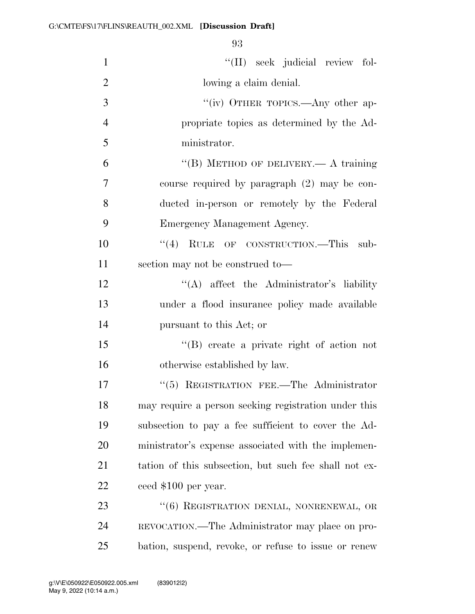| $\mathbf{1}$   | "(II) seek judicial review fol-                       |
|----------------|-------------------------------------------------------|
| $\overline{2}$ | lowing a claim denial.                                |
| 3              | "(iv) OTHER TOPICS.—Any other ap-                     |
| $\overline{4}$ | propriate topics as determined by the Ad-             |
| 5              | ministrator.                                          |
| 6              | "(B) METHOD OF DELIVERY.— A training                  |
| 7              | course required by paragraph (2) may be con-          |
| 8              | ducted in-person or remotely by the Federal           |
| 9              | Emergency Management Agency.                          |
| 10             | "(4) RULE OF CONSTRUCTION.—This sub-                  |
| 11             | section may not be construed to-                      |
| 12             | "(A) affect the Administrator's liability             |
| 13             | under a flood insurance policy made available         |
| 14             | pursuant to this Act; or                              |
| 15             | $\lq\lq$ create a private right of action not         |
| 16             | otherwise established by law.                         |
| 17             | $\lq(5)$ REGISTRATION FEE.—The Administrator          |
| 18             | may require a person seeking registration under this  |
| 19             | subsection to pay a fee sufficient to cover the Ad-   |
| 20             | ministrator's expense associated with the implemen-   |
| 21             | tation of this subsection, but such fee shall not ex- |
| 22             | ceed \$100 per year.                                  |
| 23             | "(6) REGISTRATION DENIAL, NONRENEWAL, OR              |
| 24             | REVOCATION.—The Administrator may place on pro-       |
| 25             | bation, suspend, revoke, or refuse to issue or renew  |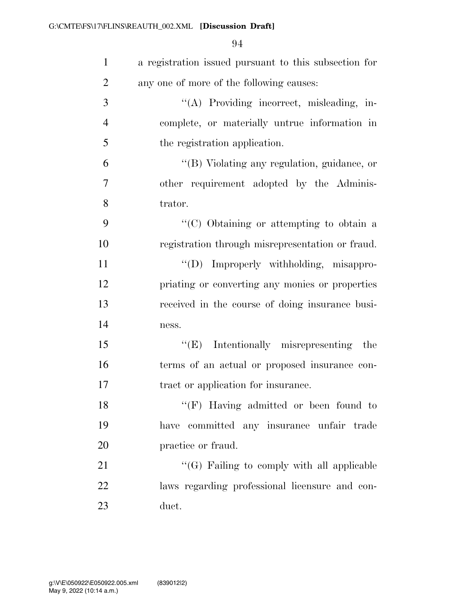| $\mathbf{1}$   | a registration issued pursuant to this subsection for |
|----------------|-------------------------------------------------------|
| $\overline{2}$ | any one of more of the following causes:              |
| 3              | "(A) Providing incorrect, misleading, in-             |
| $\overline{4}$ | complete, or materially untrue information in         |
| 5              | the registration application.                         |
| 6              | "(B) Violating any regulation, guidance, or           |
| 7              | other requirement adopted by the Adminis-             |
| 8              | trator.                                               |
| 9              | " $(C)$ Obtaining or attempting to obtain a           |
| 10             | registration through misrepresentation or fraud.      |
| 11             | "(D) Improperly withholding, misappro-                |
| 12             | priating or converting any monies or properties       |
| 13             | received in the course of doing insurance busi-       |
| 14             | ness.                                                 |
| 15             | $\lq\lq(E)$ Intentionally misrepresenting<br>the      |
| 16             | terms of an actual or proposed insurance con-         |
| 17             | tract or application for insurance.                   |
| 18             | $\lq\lq (F)$ Having admitted or been found to         |
| 19             | have committed any insurance unfair trade             |
| 20             | practice or fraud.                                    |
| 21             | "(G) Failing to comply with all applicable            |
| 22             | laws regarding professional licensure and con-        |
| 23             | duct.                                                 |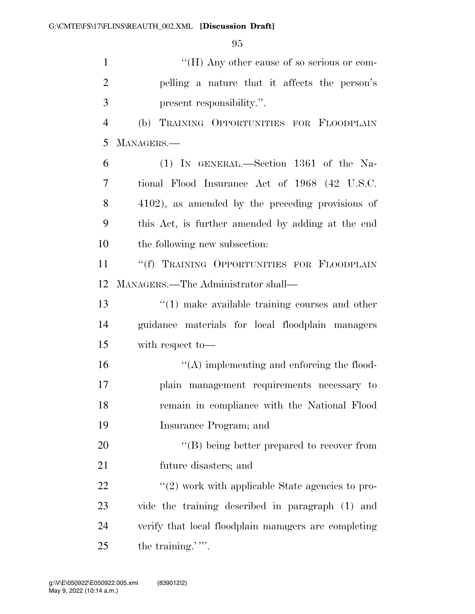''(H) Any other cause of so serious or com- pelling a nature that it affects the person's present responsibility.''.

 (b) TRAINING OPPORTUNITIES FOR FLOODPLAIN MANAGERS.—

 (1) IN GENERAL.—Section 1361 of the Na- tional Flood Insurance Act of 1968 (42 U.S.C. 4102), as amended by the preceding provisions of this Act, is further amended by adding at the end the following new subsection:

11 ""(f) TRAINING OPPORTUNITIES FOR FLOODPLAIN MANAGERS.—The Administrator shall—

 ''(1) make available training courses and other guidance materials for local floodplain managers with respect to—

 ''(A) implementing and enforcing the flood- plain management requirements necessary to remain in compliance with the National Flood Insurance Program; and

20 "'(B) being better prepared to recover from future disasters; and

 $\frac{1}{22}$  ''(2) work with applicable State agencies to pro- vide the training described in paragraph (1) and verify that local floodplain managers are completing 25 the training.'".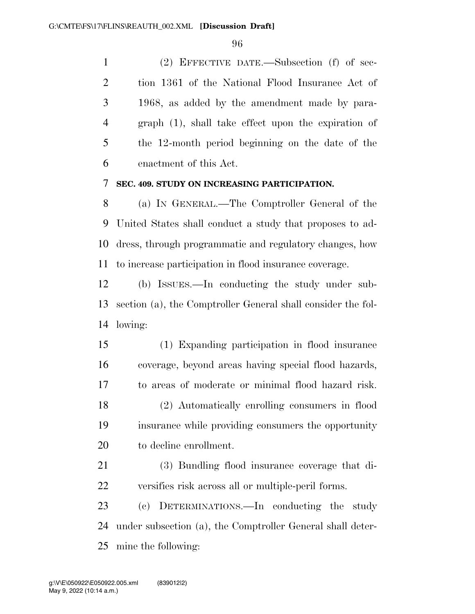(2) EFFECTIVE DATE.—Subsection (f) of sec- tion 1361 of the National Flood Insurance Act of 1968, as added by the amendment made by para- graph (1), shall take effect upon the expiration of the 12-month period beginning on the date of the enactment of this Act.

#### **SEC. 409. STUDY ON INCREASING PARTICIPATION.**

 (a) IN GENERAL.—The Comptroller General of the United States shall conduct a study that proposes to ad- dress, through programmatic and regulatory changes, how to increase participation in flood insurance coverage.

 (b) ISSUES.—In conducting the study under sub- section (a), the Comptroller General shall consider the fol-lowing:

 (1) Expanding participation in flood insurance coverage, beyond areas having special flood hazards, to areas of moderate or minimal flood hazard risk. (2) Automatically enrolling consumers in flood insurance while providing consumers the opportunity to decline enrollment.

 (3) Bundling flood insurance coverage that di-versifies risk across all or multiple-peril forms.

 (c) DETERMINATIONS.—In conducting the study under subsection (a), the Comptroller General shall deter-mine the following: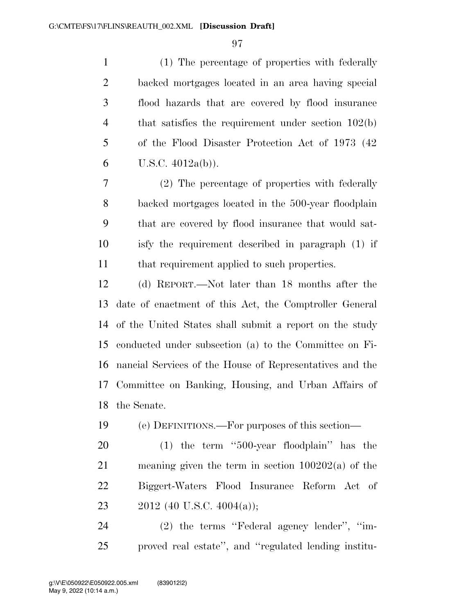(1) The percentage of properties with federally backed mortgages located in an area having special flood hazards that are covered by flood insurance 4 that satisfies the requirement under section 102(b) of the Flood Disaster Protection Act of 1973 (42 6 U.S.C.  $4012a(b)$ ).

 (2) The percentage of properties with federally backed mortgages located in the 500-year floodplain that are covered by flood insurance that would sat- isfy the requirement described in paragraph (1) if that requirement applied to such properties.

 (d) REPORT.—Not later than 18 months after the date of enactment of this Act, the Comptroller General of the United States shall submit a report on the study conducted under subsection (a) to the Committee on Fi- nancial Services of the House of Representatives and the Committee on Banking, Housing, and Urban Affairs of the Senate.

(e) DEFINITIONS.—For purposes of this section—

 (1) the term ''500-year floodplain'' has the meaning given the term in section 100202(a) of the Biggert-Waters Flood Insurance Reform Act of 23 2012 (40 U.S.C. 4004(a));

 (2) the terms ''Federal agency lender'', ''im-proved real estate'', and ''regulated lending institu-